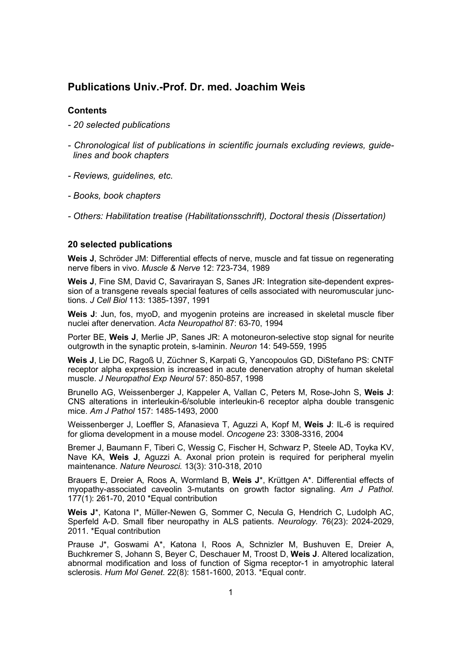# **Publications Univ.-Prof. Dr. med. Joachim Weis**

### **Contents**

- *20 selected publications*
- *Chronological list of publications in scientific journals excluding reviews, guidelines and book chapters*
- *Reviews, guidelines, etc.*
- *Books, book chapters*
- *Others: Habilitation treatise (Habilitationsschrift), Doctoral thesis (Dissertation)*

### **20 selected publications**

**Weis J**, Schröder JM: Differential effects of nerve, muscle and fat tissue on regenerating nerve fibers in vivo. *Muscle & Nerve* 12: 723-734, 1989

**Weis J**, Fine SM, David C, Savarirayan S, Sanes JR: Integration site-dependent expression of a transgene reveals special features of cells associated with neuromuscular junctions. *J Cell Biol* 113: 1385-1397, 1991

**Weis J**: Jun, fos, myoD, and myogenin proteins are increased in skeletal muscle fiber nuclei after denervation. *Acta Neuropathol* 87: 63-70, 1994

Porter BE, **Weis J**, Merlie JP, Sanes JR: A motoneuron-selective stop signal for neurite outgrowth in the synaptic protein, s-laminin. *Neuron* 14: 549-559, 1995

**Weis J**, Lie DC, Ragoß U, Züchner S, Karpati G, Yancopoulos GD, DiStefano PS: CNTF receptor alpha expression is increased in acute denervation atrophy of human skeletal muscle. *J Neuropathol Exp Neurol* 57: 850-857, 1998

Brunello AG, Weissenberger J, Kappeler A, Vallan C, Peters M, Rose-John S, **Weis J**: CNS alterations in interleukin-6/soluble interleukin-6 receptor alpha double transgenic mice. *Am J Pathol* 157: 1485-1493, 2000

Weissenberger J, Loeffler S, Afanasieva T, Aguzzi A, Kopf M, **Weis J**: IL-6 is required for glioma development in a mouse model. *Oncogene* 23: 3308-3316, 2004

Bremer J, Baumann F, Tiberi C, Wessig C, Fischer H, Schwarz P, Steele AD, Toyka KV, Nave KA, **Weis J**, Aguzzi A. Axonal prion protein is required for peripheral myelin maintenance. *Nature Neurosci.* 13(3): 310-318, 2010

Brauers E, Dreier A, Roos A, Wormland B, **Weis J**\*, Krüttgen A\*. Differential effects of myopathy-associated caveolin 3-mutants on growth factor signaling. *Am J Pathol.* 177(1): 261-70, 2010 \*Equal contribution

**Weis J**\*, Katona I\*, Müller-Newen G, Sommer C, Necula G, Hendrich C, Ludolph AC, Sperfeld A-D. Small fiber neuropathy in ALS patients. *Neurology.* 76(23): 2024-2029, 2011. \*Equal contribution

Prause J\*, Goswami A\*, Katona I, Roos A, Schnizler M, Bushuven E, Dreier A, Buchkremer S, Johann S, Beyer C, Deschauer M, Troost D, **Weis J**. Altered localization, abnormal modification and loss of function of Sigma receptor-1 in amyotrophic lateral sclerosis. *Hum Mol Genet.* 22(8): 1581-1600, 2013. \*Equal contr.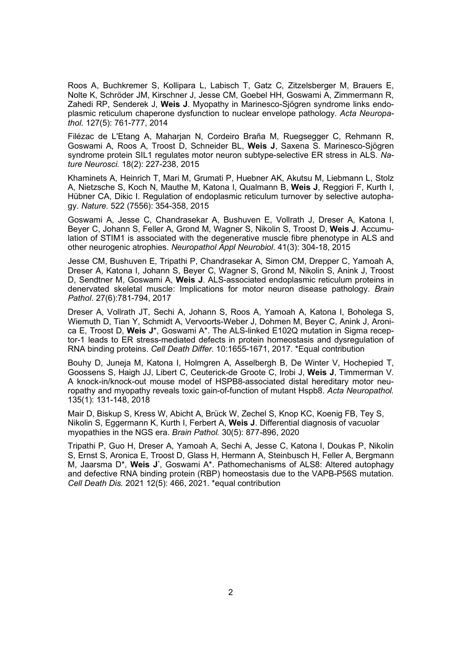Roos A, Buchkremer S, Kollipara L, Labisch T, Gatz C, Zitzelsberger M, Brauers E, Nolte K, Schröder JM, Kirschner J, Jesse CM, Goebel HH, Goswami A, Zimmermann R, Zahedi RP, Senderek J, **Weis J**. Myopathy in Marinesco-Sjögren syndrome links endoplasmic reticulum chaperone dysfunction to nuclear envelope pathology. *Acta Neuropathol*. 127(5): 761-777, 2014

Filézac de L'Etang A, Maharjan N, Cordeiro Braña M, Ruegsegger C, Rehmann R, Goswami A, Roos A, Troost D, Schneider BL, **Weis J**, Saxena S. Marinesco-Sjögren syndrome protein SIL1 regulates motor neuron subtype-selective ER stress in ALS. *Nature Neurosci.* 18(2): 227-238, 2015

Khaminets A, Heinrich T, Mari M, Grumati P, Huebner AK, Akutsu M, Liebmann L, Stolz A, Nietzsche S, Koch N, Mauthe M, Katona I, Qualmann B, **Weis J**, Reggiori F, Kurth I, Hübner CA, Dikic I. Regulation of endoplasmic reticulum turnover by selective autophagy. *Nature.* 522 (7556): 354-358, 2015

Goswami A, Jesse C, Chandrasekar A, Bushuven E, Vollrath J, Dreser A, Katona I, Beyer C, Johann S, Feller A, Grond M, Wagner S, Nikolin S, Troost D, **Weis J**. Accumulation of STIM1 is associated with the degenerative muscle fibre phenotype in ALS and other neurogenic atrophies. *Neuropathol Appl Neurobiol*. 41(3): 304-18, 2015

Jesse CM, Bushuven E, Tripathi P, Chandrasekar A, Simon CM, Drepper C, Yamoah A, Dreser A, Katona I, Johann S, Beyer C, Wagner S, Grond M, Nikolin S, Anink J, Troost D, Sendtner M, Goswami A, **Weis J**. ALS-associated endoplasmic reticulum proteins in denervated skeletal muscle: Implications for motor neuron disease pathology. *Brain Pathol*. 27(6):781-794, 2017

Dreser A, Vollrath JT, Sechi A, Johann S, Roos A, Yamoah A, Katona I, Boholega S, Wiemuth D, Tian Y, Schmidt A, Vervoorts-Weber J, Dohmen M, Beyer C, Anink J, Aronica E, Troost D, **Weis J**\*, Goswami A\*. The ALS-linked E102Q mutation in Sigma receptor-1 leads to ER stress-mediated defects in protein homeostasis and dysregulation of RNA binding proteins. *Cell Death Differ.* 10:1655-1671, 2017. \*Equal contribution

Bouhy D, Juneja M, Katona I, Holmgren A, Asselbergh B, De Winter V, Hochepied T, Goossens S, Haigh JJ, Libert C, Ceuterick-de Groote C, Irobi J, **Weis J**, Timmerman V. A knock-in/knock-out mouse model of HSPB8-associated distal hereditary motor neuropathy and myopathy reveals toxic gain-of-function of mutant Hspb8. *Acta Neuropathol.* 135(1): 131-148, 2018

Mair D, Biskup S, Kress W, Abicht A, Brück W, Zechel S, Knop KC, Koenig FB, Tey S, Nikolin S, Eggermann K, Kurth I, Ferbert A, **Weis J**. Differential diagnosis of vacuolar myopathies in the NGS era. *Brain Pathol.* 30(5): 877-896, 2020

Tripathi P, Guo H, Dreser A, Yamoah A, Sechi A, Jesse C, Katona I, Doukas P, Nikolin S, Ernst S, Aronica E, Troost D, Glass H, Hermann A, Steinbusch H, Feller A, Bergmann M, Jaarsma D\*, **Weis J**\* , Goswami A\*. Pathomechanisms of ALS8: Altered autophagy and defective RNA binding protein (RBP) homeostasis due to the VAPB-P56S mutation. *Cell Death Dis.* 2021 12(5): 466, 2021. \*equal contribution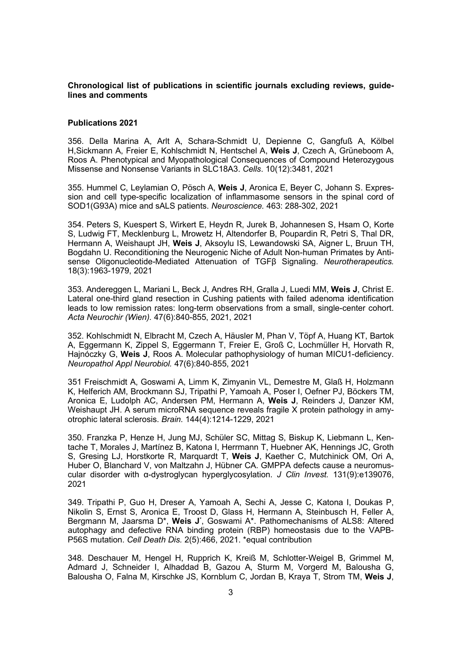### **Chronological list of publications in scientific journals excluding reviews, guidelines and comments**

#### **Publications 2021**

356. Della Marina A, Arlt A, Schara-Schmidt U, Depienne C, Gangfuß A, Kölbel H,Sickmann A, Freier E, Kohlschmidt N, Hentschel A, **Weis J**, Czech A, Grüneboom A, Roos A. Phenotypical and Myopathological Consequences of Compound Heterozygous Missense and Nonsense Variants in SLC18A3. *Cells*. 10(12):3481, 2021

355. Hummel C, Leylamian O, Pösch A, **Weis J**, Aronica E, Beyer C, Johann S. Expression and cell type-specific localization of inflammasome sensors in the spinal cord of SOD1(G93A) mice and sALS patients. *Neuroscience.* 463: 288-302, 2021

354. Peters S, Kuespert S, Wirkert E, Heydn R, Jurek B, Johannesen S, Hsam O, Korte S, Ludwig FT, Mecklenburg L, Mrowetz H, Altendorfer B, Poupardin R, Petri S, Thal DR, Hermann A, Weishaupt JH, **Weis J**, Aksoylu IS, Lewandowski SA, Aigner L, Bruun TH, Bogdahn U. Reconditioning the Neurogenic Niche of Adult Non-human Primates by Antisense Oligonucleotide-Mediated Attenuation of TGFβ Signaling. *Neurotherapeutics.* 18(3):1963-1979, 2021

353. Andereggen L, Mariani L, Beck J, Andres RH, Gralla J, Luedi MM, **Weis J**, Christ E. Lateral one-third gland resection in Cushing patients with failed adenoma identification leads to low remission rates: long-term observations from a small, single-center cohort. *Acta Neurochir (Wien).* 47(6):840-855, 2021, 2021

352. Kohlschmidt N, Elbracht M, Czech A, Häusler M, Phan V, Töpf A, Huang KT, Bartok A, Eggermann K, Zippel S, Eggermann T, Freier E, Groß C, Lochmüller H, Horvath R, Hajnóczky G, **Weis J**, Roos A. Molecular pathophysiology of human MICU1-deficiency. *Neuropathol Appl Neurobiol.* 47(6):840-855, 2021

351 Freischmidt A, Goswami A, Limm K, Zimyanin VL, Demestre M, Glaß H, Holzmann K, Helferich AM, Brockmann SJ, Tripathi P, Yamoah A, Poser I, Oefner PJ, Böckers TM, Aronica E, Ludolph AC, Andersen PM, Hermann A, **Weis J**, Reinders J, Danzer KM, Weishaupt JH. A serum microRNA sequence reveals fragile X protein pathology in amyotrophic lateral sclerosis. *Brain.* 144(4):1214-1229, 2021

350. Franzka P, Henze H, Jung MJ, Schüler SC, Mittag S, Biskup K, Liebmann L, Kentache T, Morales J, Martínez B, Katona I, Herrmann T, Huebner AK, Hennings JC, Groth S, Gresing LJ, Horstkorte R, Marquardt T, **Weis J**, Kaether C, Mutchinick OM, Ori A, Huber O, Blanchard V, von Maltzahn J, Hübner CA. GMPPA defects cause a neuromuscular disorder with α-dystroglycan hyperglycosylation. *J Clin Invest.* 131(9):e139076, 2021

349. Tripathi P, Guo H, Dreser A, Yamoah A, Sechi A, Jesse C, Katona I, Doukas P, Nikolin S, Ernst S, Aronica E, Troost D, Glass H, Hermann A, Steinbusch H, Feller A, Bergmann M, Jaarsma D\*, **Weis J**\* , Goswami A\*. Pathomechanisms of ALS8: Altered autophagy and defective RNA binding protein (RBP) homeostasis due to the VAPB-P56S mutation. *Cell Death Dis.* 2(5):466, 2021. \*equal contribution

348. Deschauer M, Hengel H, Rupprich K, Kreiß M, Schlotter-Weigel B, Grimmel M, Admard J, Schneider I, Alhaddad B, Gazou A, Sturm M, Vorgerd M, Balousha G, Balousha O, Falna M, Kirschke JS, Kornblum C, Jordan B, Kraya T, Strom TM, **Weis J**,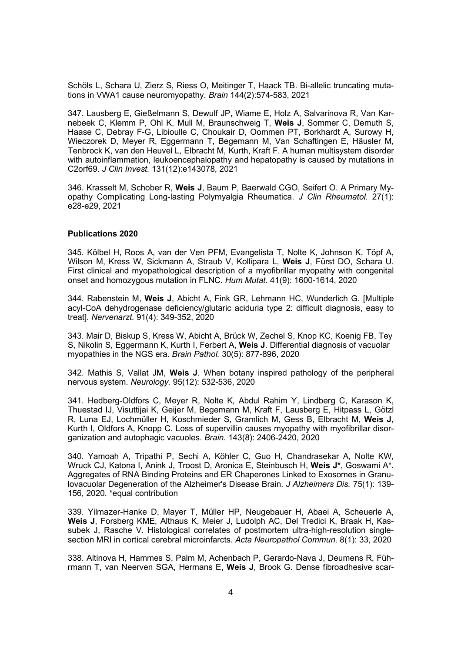Schöls L, Schara U, Zierz S, Riess O, Meitinger T, Haack TB. Bi-allelic truncating mutations in VWA1 cause neuromyopathy. *Brain* 144(2):574-583, 2021

347. Lausberg E, Gießelmann S, Dewulf JP, Wiame E, Holz A, Salvarinova R, Van Karnebeek C, Klemm P, Ohl K, Mull M, Braunschweig T, **Weis J**, Sommer C, Demuth S, Haase C, Debray F-G, Libioulle C, Choukair D, Oommen PT, Borkhardt A, Surowy H, Wieczorek D, Meyer R, Eggermann T, Begemann M, Van Schaftingen E, Häusler M, Tenbrock K, van den Heuvel L, Elbracht M, Kurth, Kraft F. A human multisystem disorder with autoinflammation, leukoencephalopathy and hepatopathy is caused by mutations in C2orf69. *J Clin Invest.* 131(12):e143078*,* 2021

346. Krasselt M, Schober R, **Weis J**, Baum P, Baerwald CGO, Seifert O. A Primary Myopathy Complicating Long-lasting Polymyalgia Rheumatica. *J Clin Rheumatol.* 27(1): e28-e29, 2021

### **Publications 2020**

345. Kölbel H, Roos A, van der Ven PFM, Evangelista T, Nolte K, Johnson K, Töpf A, Wilson M, Kress W, Sickmann A, Straub V, Kollipara L, **Weis J**, Fürst DO, Schara U. First clinical and myopathological description of a myofibrillar myopathy with congenital onset and homozygous mutation in FLNC. *Hum Mutat.* 41(9): 1600-1614, 2020

344. Rabenstein M, **Weis J**, Abicht A, Fink GR, Lehmann HC, Wunderlich G. [Multiple acyl-CoA dehydrogenase deficiency/glutaric aciduria type 2: difficult diagnosis, easy to treat]. *Nervenarzt.* 91(4): 349-352, 2020

343. Mair D, Biskup S, Kress W, Abicht A, Brück W, Zechel S, Knop KC, Koenig FB, Tey S, Nikolin S, Eggermann K, Kurth I, Ferbert A, **Weis J**. Differential diagnosis of vacuolar myopathies in the NGS era. *Brain Pathol.* 30(5): 877-896, 2020

342. Mathis S, Vallat JM, **Weis J**. When botany inspired pathology of the peripheral nervous system. *Neurology.* 95(12): 532-536, 2020

341. Hedberg-Oldfors C, Meyer R, Nolte K, Abdul Rahim Y, Lindberg C, Karason K, Thuestad IJ, Visuttijai K, Geijer M, Begemann M, Kraft F, Lausberg E, Hitpass L, Götzl R, Luna EJ, Lochmüller H, Koschmieder S, Gramlich M, Gess B, Elbracht M, **Weis J**, Kurth I, Oldfors A, Knopp C. Loss of supervillin causes myopathy with myofibrillar disorganization and autophagic vacuoles. *Brain.* 143(8): 2406-2420, 2020

340. Yamoah A, Tripathi P, Sechi A, Köhler C, Guo H, Chandrasekar A, Nolte KW, Wruck CJ, Katona I, Anink J, Troost D, Aronica E, Steinbusch H, **Weis J\***, Goswami A\*. Aggregates of RNA Binding Proteins and ER Chaperones Linked to Exosomes in Granulovacuolar Degeneration of the Alzheimer's Disease Brain. *J Alzheimers Dis.* 75(1): 139- 156, 2020. \*equal contribution

339. Yilmazer-Hanke D, Mayer T, Müller HP, Neugebauer H, Abaei A, Scheuerle A, **Weis J**, Forsberg KME, Althaus K, Meier J, Ludolph AC, Del Tredici K, Braak H, Kassubek J, Rasche V. Histological correlates of postmortem ultra-high-resolution singlesection MRI in cortical cerebral microinfarcts. *Acta Neuropathol Commun.* 8(1): 33, 2020

338. Altinova H, Hammes S, Palm M, Achenbach P, Gerardo-Nava J, Deumens R, Führmann T, van Neerven SGA, Hermans E, **Weis J**, Brook G. Dense fibroadhesive scar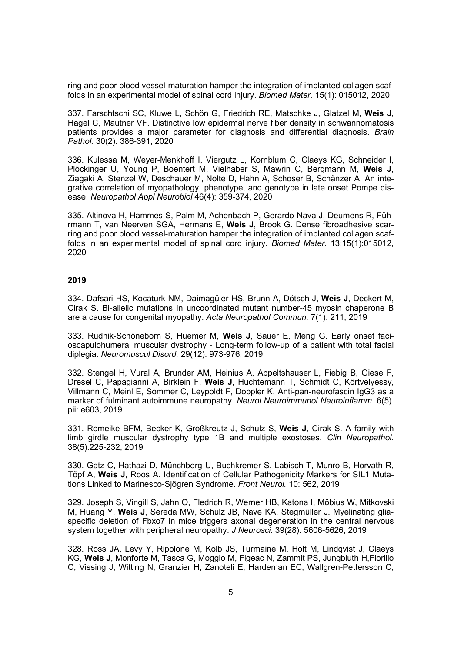ring and poor blood vessel-maturation hamper the integration of implanted collagen scaffolds in an experimental model of spinal cord injury. *Biomed Mater.* 15(1): 015012, 2020

337. Farschtschi SC, Kluwe L, Schön G, Friedrich RE, Matschke J, Glatzel M, **Weis J**, Hagel C, Mautner VF. Distinctive low epidermal nerve fiber density in schwannomatosis patients provides a major parameter for diagnosis and differential diagnosis. *Brain Pathol.* 30(2): 386-391, 2020

336. Kulessa M, Weyer-Menkhoff I, Viergutz L, Kornblum C, Claeys KG, Schneider I, Plöckinger U, Young P, Boentert M, Vielhaber S, Mawrin C, Bergmann M, **Weis J**, Ziagaki A, Stenzel W, Deschauer M, Nolte D, Hahn A, Schoser B, Schänzer A. An integrative correlation of myopathology, phenotype, and genotype in late onset Pompe disease. *Neuropathol Appl Neurobiol* 46(4): 359-374, 2020

335. Altinova H, Hammes S, Palm M, Achenbach P, Gerardo-Nava J, Deumens R, Führmann T, van Neerven SGA, Hermans E, **Weis J**, Brook G. Dense fibroadhesive scarring and poor blood vessel-maturation hamper the integration of implanted collagen scaffolds in an experimental model of spinal cord injury. *Biomed Mater.* 13;15(1):015012, 2020

### **2019**

334. Dafsari HS, Kocaturk NM, Daimagüler HS, Brunn A, Dötsch J, **Weis J**, Deckert M, Cirak S. Bi-allelic mutations in uncoordinated mutant number-45 myosin chaperone B are a cause for congenital myopathy. *Acta Neuropathol Commun.* 7(1): 211, 2019

333. Rudnik-Schöneborn S, Huemer M, **Weis J**, Sauer E, Meng G. Early onset facioscapulohumeral muscular dystrophy - Long-term follow-up of a patient with total facial diplegia. *Neuromuscul Disord.* 29(12): 973-976, 2019

332. Stengel H, Vural A, Brunder AM, Heinius A, Appeltshauser L, Fiebig B, Giese F, Dresel C, Papagianni A, Birklein F, **Weis J**, Huchtemann T, Schmidt C, Körtvelyessy, Villmann C, Meinl E, Sommer C, Leypoldt F, Doppler K. Anti-pan-neurofascin IgG3 as a marker of fulminant autoimmune neuropathy. *Neurol Neuroimmunol Neuroinflamm*. 6(5). pii: e603, 2019

331. Romeike BFM, Becker K, Großkreutz J, Schulz S, **Weis J**, Cirak S. A family with limb girdle muscular dystrophy type 1B and multiple exostoses. *Clin Neuropathol.* 38(5):225-232, 2019

330. Gatz C, Hathazi D, Münchberg U, Buchkremer S, Labisch T, Munro B, Horvath R, Töpf A, **Weis J**, Roos A. Identification of Cellular Pathogenicity Markers for SIL1 Mutations Linked to Marinesco-Sjögren Syndrome. *Front Neurol.* 10: 562, 2019

329. Joseph S, Vingill S, Jahn O, Fledrich R, Werner HB, Katona I, Möbius W, Mitkovski M, Huang Y, **Weis J**, Sereda MW, Schulz JB, Nave KA, Stegmüller J. Myelinating gliaspecific deletion of Fbxo7 in mice triggers axonal degeneration in the central nervous system together with peripheral neuropathy. *J Neurosci.* 39(28): 5606-5626, 2019

328. Ross JA, Levy Y, Ripolone M, Kolb JS, Turmaine M, Holt M, Lindqvist J, Claeys KG, **Weis J**, Monforte M, Tasca G, Moggio M, Figeac N, Zammit PS, Jungbluth H,Fiorillo C, Vissing J, Witting N, Granzier H, Zanoteli E, Hardeman EC, Wallgren-Pettersson C,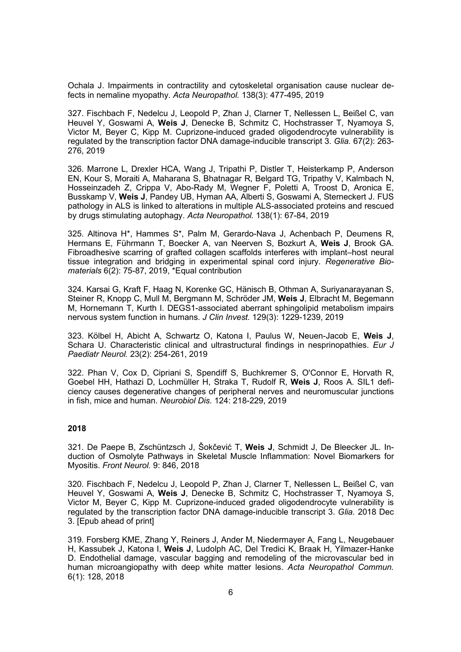Ochala J. Impairments in contractility and cytoskeletal organisation cause nuclear defects in nemaline myopathy. *Acta Neuropathol.* 138(3): 477-495, 2019

327. Fischbach F, Nedelcu J, Leopold P, Zhan J, Clarner T, Nellessen L, Beißel C, van Heuvel Y, Goswami A, **Weis J**, Denecke B, Schmitz C, Hochstrasser T, Nyamoya S, Victor M, Beyer C, Kipp M. Cuprizone-induced graded oligodendrocyte vulnerability is regulated by the transcription factor DNA damage-inducible transcript 3. *Glia.* 67(2): 263- 276, 2019

326. Marrone L, Drexler HCA, Wang J, Tripathi P, Distler T, Heisterkamp P, Anderson EN, Kour S, Moraiti A, Maharana S, Bhatnagar R, Belgard TG, Tripathy V, Kalmbach N, Hosseinzadeh Z, Crippa V, Abo-Rady M, Wegner F, Poletti A, Troost D, Aronica E, Busskamp V, **Weis J**, Pandey UB, Hyman AA, Alberti S, Goswami A, Sterneckert J. FUS pathology in ALS is linked to alterations in multiple ALS-associated proteins and rescued by drugs stimulating autophagy. *Acta Neuropathol.* 138(1): 67-84, 2019

325. Altinova H\*, Hammes S\*, Palm M, Gerardo-Nava J, Achenbach P, Deumens R, Hermans E, Führmann T, Boecker A, van Neerven S, Bozkurt A, **Weis J**, Brook GA. Fibroadhesive scarring of grafted collagen scaffolds interferes with implant–host neural tissue integration and bridging in experimental spinal cord injury. *Regenerative Biomaterials* 6(2): 75-87, 2019, \*Equal contribution

324. Karsai G, Kraft F, Haag N, Korenke GC, Hänisch B, Othman A, Suriyanarayanan S, Steiner R, Knopp C, Mull M, Bergmann M, Schröder JM, **Weis J**, Elbracht M, Begemann M, Hornemann T, Kurth I. DEGS1-associated aberrant sphingolipid metabolism impairs nervous system function in humans. *J Clin Invest.* 129(3): 1229-1239, 2019

323. Kölbel H, Abicht A, Schwartz O, Katona I, Paulus W, Neuen-Jacob E, **Weis J**, Schara U. Characteristic clinical and ultrastructural findings in nesprinopathies. *Eur J Paediatr Neurol.* 23(2): 254-261, 2019

322. Phan V, Cox D, Cipriani S, Spendiff S, Buchkremer S, O'Connor E, Horvath R, Goebel HH, Hathazi D, Lochmüller H, Straka T, Rudolf R, **Weis J**, Roos A. SIL1 deficiency causes degenerative changes of peripheral nerves and neuromuscular junctions in fish, mice and human. *Neurobiol Dis.* 124: 218-229, 2019

# **2018**

321. De Paepe B, Zschüntzsch J, Šokčević T, **Weis J**, Schmidt J, De Bleecker JL. Induction of Osmolyte Pathways in Skeletal Muscle Inflammation: Novel Biomarkers for Myositis. *Front Neurol.* 9: 846, 2018

320. Fischbach F, Nedelcu J, Leopold P, Zhan J, Clarner T, Nellessen L, Beißel C, van Heuvel Y, Goswami A, **Weis J**, Denecke B, Schmitz C, Hochstrasser T, Nyamoya S, Victor M, Beyer C, Kipp M. Cuprizone-induced graded oligodendrocyte vulnerability is regulated by the transcription factor DNA damage-inducible transcript 3. *Glia.* 2018 Dec 3. [Epub ahead of print]

319. Forsberg KME, Zhang Y, Reiners J, Ander M, Niedermayer A, Fang L, Neugebauer H, Kassubek J, Katona I, **Weis J**, Ludolph AC, Del Tredici K, Braak H, Yilmazer-Hanke D. Endothelial damage, vascular bagging and remodeling of the microvascular bed in human microangiopathy with deep white matter lesions. *Acta Neuropathol Commun.* 6(1): 128, 2018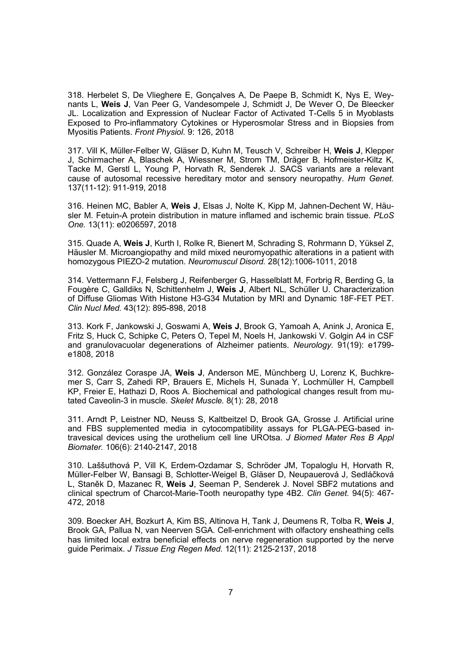318. Herbelet S, De Vlieghere E, Gonçalves A, De Paepe B, Schmidt K, Nys E, Weynants L, **Weis J**, Van Peer G, Vandesompele J, Schmidt J, De Wever O, De Bleecker JL. Localization and Expression of Nuclear Factor of Activated T-Cells 5 in Myoblasts Exposed to Pro-inflammatory Cytokines or Hyperosmolar Stress and in Biopsies from Myositis Patients. *Front Physiol*. 9: 126, 2018

317. Vill K, Müller-Felber W, Gläser D, Kuhn M, Teusch V, Schreiber H, **Weis J**, Klepper J, Schirmacher A, Blaschek A, Wiessner M, Strom TM, Dräger B, Hofmeister-Kiltz K, Tacke M, Gerstl L, Young P, Horvath R, Senderek J. SACS variants are a relevant cause of autosomal recessive hereditary motor and sensory neuropathy. *Hum Genet.* 137(11-12): 911-919, 2018

316. Heinen MC, Babler A, **Weis J**, Elsas J, Nolte K, Kipp M, Jahnen-Dechent W, Häusler M. Fetuin-A protein distribution in mature inflamed and ischemic brain tissue. *PLoS One.* 13(11): e0206597, 2018

315. Quade A, **Weis J**, Kurth I, Rolke R, Bienert M, Schrading S, Rohrmann D, Yüksel Z, Häusler M. Microangiopathy and mild mixed neuromyopathic alterations in a patient with homozygous PIEZO-2 mutation. *Neuromuscul Disord.* 28(12):1006-1011, 2018

314. Vettermann FJ, Felsberg J, Reifenberger G, Hasselblatt M, Forbrig R, Berding G, la Fougère C, Galldiks N, Schittenhelm J, **Weis J**, Albert NL, Schüller U. Characterization of Diffuse Gliomas With Histone H3-G34 Mutation by MRI and Dynamic 18F-FET PET. *Clin Nucl Med.* 43(12): 895-898, 2018

313. Kork F, Jankowski J, Goswami A, **Weis J**, Brook G, Yamoah A, Anink J, Aronica E, Fritz S, Huck C, Schipke C, Peters O, Tepel M, Noels H, Jankowski V. Golgin A4 in CSF and granulovacuolar degenerations of Alzheimer patients. *Neurology.* 91(19): e1799 e1808, 2018

312. González Coraspe JA, **Weis J**, Anderson ME, Münchberg U, Lorenz K, Buchkremer S, Carr S, Zahedi RP, Brauers E, Michels H, Sunada Y, Lochmüller H, Campbell KP, Freier E, Hathazi D, Roos A. Biochemical and pathological changes result from mutated Caveolin-3 in muscle. *Skelet Muscle.* 8(1): 28, 2018

311. Arndt P, Leistner ND, Neuss S, Kaltbeitzel D, Brook GA, Grosse J. Artificial urine and FBS supplemented media in cytocompatibility assays for PLGA-PEG-based intravesical devices using the urothelium cell line UROtsa. *J Biomed Mater Res B Appl Biomater.* 106(6): 2140-2147, 2018

310. Laššuthová P, Vill K, Erdem-Ozdamar S, Schröder JM, Topaloglu H, Horvath R, Müller-Felber W, Bansagi B, Schlotter-Weigel B, Gläser D, Neupauerová J, Sedláčková L, Staněk D, Mazanec R, **Weis J**, Seeman P, Senderek J. Novel SBF2 mutations and clinical spectrum of Charcot-Marie-Tooth neuropathy type 4B2. *Clin Genet.* 94(5): 467- 472, 2018

309. Boecker AH, Bozkurt A, Kim BS, Altinova H, Tank J, Deumens R, Tolba R, **Weis J**, Brook GA, Pallua N, van Neerven SGA. Cell-enrichment with olfactory ensheathing cells has limited local extra beneficial effects on nerve regeneration supported by the nerve guide Perimaix. *J Tissue Eng Regen Med.* 12(11): 2125-2137, 2018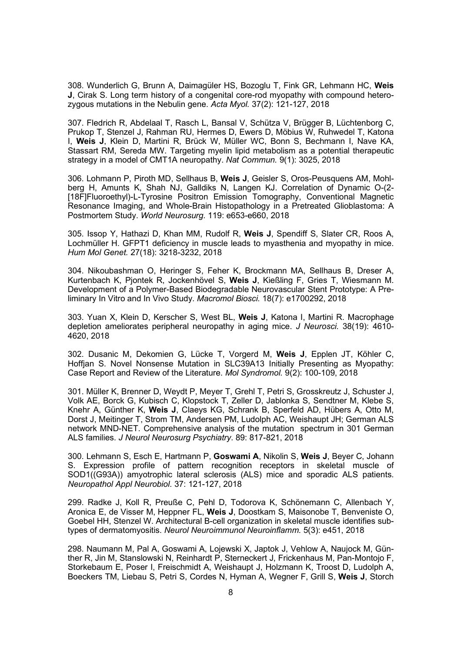308. Wunderlich G, Brunn A, Daimagüler HS, Bozoglu T, Fink GR, Lehmann HC, **Weis J**, Cirak S. Long term history of a congenital core-rod myopathy with compound heterozygous mutations in the Nebulin gene. *Acta Myol.* 37(2): 121-127, 2018

307. Fledrich R, Abdelaal T, Rasch L, Bansal V, Schütza V, Brügger B, Lüchtenborg C, Prukop T, Stenzel J, Rahman RU, Hermes D, Ewers D, Möbius W, Ruhwedel T, Katona I, **Weis J**, Klein D, Martini R, Brück W, Müller WC, Bonn S, Bechmann I, Nave KA, Stassart RM, Sereda MW. Targeting myelin lipid metabolism as a potential therapeutic strategy in a model of CMT1A neuropathy. *Nat Commun.* 9(1): 3025, 2018

306. Lohmann P, Piroth MD, Sellhaus B, **Weis J**, Geisler S, Oros-Peusquens AM, Mohlberg H, Amunts K, Shah NJ, Galldiks N, Langen KJ. Correlation of Dynamic O-(2- [18F]Fluoroethyl)-L-Tyrosine Positron Emission Tomography, Conventional Magnetic Resonance Imaging, and Whole-Brain Histopathology in a Pretreated Glioblastoma: A Postmortem Study. *World Neurosurg.* 119: e653-e660, 2018

305. Issop Y, Hathazi D, Khan MM, Rudolf R, **Weis J**, Spendiff S, Slater CR, Roos A, Lochmüller H. GFPT1 deficiency in muscle leads to myasthenia and myopathy in mice. *Hum Mol Genet.* 27(18): 3218-3232, 2018

304. Nikoubashman O, Heringer S, Feher K, Brockmann MA, Sellhaus B, Dreser A, Kurtenbach K, Pjontek R, Jockenhövel S, **Weis J**, Kießling F, Gries T, Wiesmann M. Development of a Polymer-Based Biodegradable Neurovascular Stent Prototype: A Preliminary In Vitro and In Vivo Study. *Macromol Biosci.* 18(7): e1700292, 2018

303. Yuan X, Klein D, Kerscher S, West BL, **Weis J**, Katona I, Martini R. Macrophage depletion ameliorates peripheral neuropathy in aging mice. *J Neurosci.* 38(19): 4610- 4620, 2018

302. Dusanic M, Dekomien G, Lücke T, Vorgerd M, **Weis J**, Epplen JT, Köhler C, Hoffjan S. Novel Nonsense Mutation in SLC39A13 Initially Presenting as Myopathy: Case Report and Review of the Literature. *Mol Syndromol.* 9(2): 100-109, 2018

301. Müller K, Brenner D, Weydt P, Meyer T, Grehl T, Petri S, Grosskreutz J, Schuster J, Volk AE, Borck G, Kubisch C, Klopstock T, Zeller D, Jablonka S, Sendtner M, Klebe S, Knehr A, Günther K, **Weis J**, Claeys KG, Schrank B, Sperfeld AD, Hübers A, Otto M, Dorst J, Meitinger T, Strom TM, Andersen PM, Ludolph AC, Weishaupt JH; German ALS network MND-NET. Comprehensive analysis of the mutation spectrum in 301 German ALS families. *J Neurol Neurosurg Psychiatry*. 89: 817-821, 2018

300. Lehmann S, Esch E, Hartmann P, **Goswami A**, Nikolin S, **Weis J**, Beyer C, Johann S. Expression profile of pattern recognition receptors in skeletal muscle of SOD1((G93A)) amyotrophic lateral sclerosis (ALS) mice and sporadic ALS patients. *Neuropathol Appl Neurobiol*. 37: 121-127, 2018

299. Radke J, Koll R, Preuße C, Pehl D, Todorova K, Schönemann C, Allenbach Y, Aronica E, de Visser M, Heppner FL, **Weis J**, Doostkam S, Maisonobe T, Benveniste O, Goebel HH, Stenzel W. Architectural B-cell organization in skeletal muscle identifies subtypes of dermatomyositis. *Neurol Neuroimmunol Neuroinflamm.* 5(3): e451, 2018

298. Naumann M, Pal A, Goswami A, Lojewski X, Japtok J, Vehlow A, Naujock M, Günther R, Jin M, Stanslowski N, Reinhardt P, Sterneckert J, Frickenhaus M, Pan-Montojo F, Storkebaum E, Poser I, Freischmidt A, Weishaupt J, Holzmann K, Troost D, Ludolph A, Boeckers TM, Liebau S, Petri S, Cordes N, Hyman A, Wegner F, Grill S, **Weis J**, Storch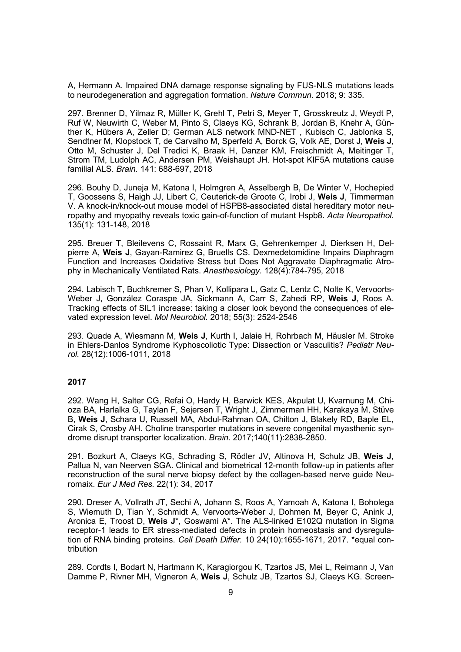A, Hermann A. Impaired DNA damage response signaling by FUS-NLS mutations leads to neurodegeneration and aggregation formation. *Nature Commun*. 2018; 9: 335.

297. Brenner D, Yilmaz R, Müller K, Grehl T, Petri S, Meyer T, Grosskreutz J, Weydt P, Ruf W, Neuwirth C, Weber M, Pinto S, Claeys KG, Schrank B, Jordan B, Knehr A, Günther K, Hübers A, Zeller D; German ALS network MND-NET , Kubisch C, Jablonka S, Sendtner M, Klopstock T, de Carvalho M, Sperfeld A, Borck G, Volk AE, Dorst J, **Weis J**, Otto M, Schuster J, Del Tredici K, Braak H, Danzer KM, Freischmidt A, Meitinger T, Strom TM, Ludolph AC, Andersen PM, Weishaupt JH. Hot-spot KIF5A mutations cause familial ALS. *Brain.* 141: 688-697, 2018

296. Bouhy D, Juneja M, Katona I, Holmgren A, Asselbergh B, De Winter V, Hochepied T, Goossens S, Haigh JJ, Libert C, Ceuterick-de Groote C, Irobi J, **Weis J**, Timmerman V. A knock-in/knock-out mouse model of HSPB8-associated distal hereditary motor neuropathy and myopathy reveals toxic gain-of-function of mutant Hspb8. *Acta Neuropathol.* 135(1): 131-148, 2018

295. Breuer T, Bleilevens C, Rossaint R, Marx G, Gehrenkemper J, Dierksen H, Delpierre A, **Weis J**, Gayan-Ramirez G, Bruells CS. Dexmedetomidine Impairs Diaphragm Function and Increases Oxidative Stress but Does Not Aggravate Diaphragmatic Atrophy in Mechanically Ventilated Rats. *Anesthesiology.* 128(4):784-795, 2018

294. Labisch T, Buchkremer S, Phan V, Kollipara L, Gatz C, Lentz C, Nolte K, Vervoorts-Weber J, González Coraspe JA, Sickmann A, Carr S, Zahedi RP, **Weis J**, Roos A. Tracking effects of SIL1 increase: taking a closer look beyond the consequences of elevated expression level. *Mol Neurobiol.* 2018; 55(3): 2524-2546

293. Quade A, Wiesmann M, **Weis J**, Kurth I, Jalaie H, Rohrbach M, Häusler M. Stroke in Ehlers-Danlos Syndrome Kyphoscoliotic Type: Dissection or Vasculitis? *Pediatr Neurol.* 28(12):1006-1011, 2018

# **2017**

292. Wang H, Salter CG, Refai O, Hardy H, Barwick KES, Akpulat U, Kvarnung M, Chioza BA, Harlalka G, Taylan F, Sejersen T, Wright J, Zimmerman HH, Karakaya M, Stüve B, **Weis J**, Schara U, Russell MA, Abdul-Rahman OA, Chilton J, Blakely RD, Baple EL, Cirak S, Crosby AH. Choline transporter mutations in severe congenital myasthenic syndrome disrupt transporter localization. *Brain*. 2017;140(11):2838-2850.

291. Bozkurt A, Claeys KG, Schrading S, Rödler JV, Altinova H, Schulz JB, **Weis J**, Pallua N, van Neerven SGA. Clinical and biometrical 12-month follow-up in patients after reconstruction of the sural nerve biopsy defect by the collagen-based nerve guide Neuromaix. *Eur J Med Res.* 22(1): 34, 2017

290. Dreser A, Vollrath JT, Sechi A, Johann S, Roos A, Yamoah A, Katona I, Boholega S, Wiemuth D, Tian Y, Schmidt A, Vervoorts-Weber J, Dohmen M, Beyer C, Anink J, Aronica E, Troost D, **Weis J**\*, Goswami A\*. The ALS-linked E102Q mutation in Sigma receptor-1 leads to ER stress-mediated defects in protein homeostasis and dysregulation of RNA binding proteins. *Cell Death Differ.* 10 24(10):1655-1671, 2017. \*equal contribution

289. Cordts I, Bodart N, Hartmann K, Karagiorgou K, Tzartos JS, Mei L, Reimann J, Van Damme P, Rivner MH, Vigneron A, **Weis J**, Schulz JB, Tzartos SJ, Claeys KG. Screen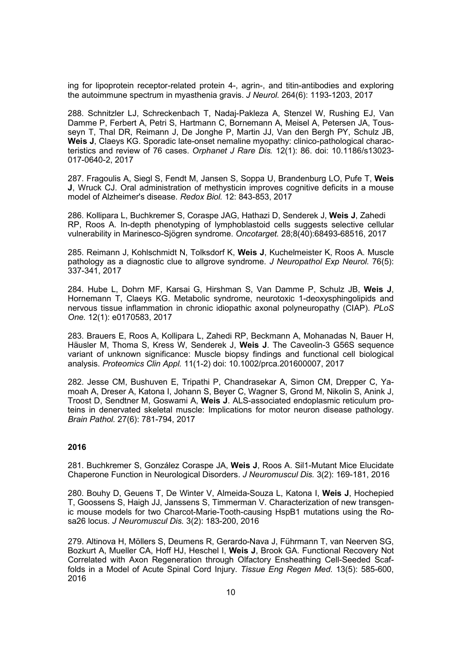ing for lipoprotein receptor-related protein 4-, agrin-, and titin-antibodies and exploring the autoimmune spectrum in myasthenia gravis. *J Neurol.* 264(6): 1193-1203, 2017

288. Schnitzler LJ, Schreckenbach T, Nadaj-Pakleza A, Stenzel W, Rushing EJ, Van Damme P, Ferbert A, Petri S, Hartmann C, Bornemann A, Meisel A, Petersen JA, Tousseyn T, Thal DR, Reimann J, De Jonghe P, Martin JJ, Van den Bergh PY, Schulz JB, **Weis J**, Claeys KG. Sporadic late-onset nemaline myopathy: clinico-pathological characteristics and review of 76 cases. *Orphanet J Rare Dis.* 12(1): 86. doi: 10.1186/s13023- 017-0640-2, 2017

287. Fragoulis A, Siegl S, Fendt M, Jansen S, Soppa U, Brandenburg LO, Pufe T, **Weis J**, Wruck CJ. Oral administration of methysticin improves cognitive deficits in a mouse model of Alzheimer's disease. *Redox Biol.* 12: 843-853, 2017

286. Kollipara L, Buchkremer S, Coraspe JAG, Hathazi D, Senderek J, **Weis J**, Zahedi RP, Roos A. In-depth phenotyping of lymphoblastoid cells suggests selective cellular vulnerability in Marinesco-Sjögren syndrome. *Oncotarget.* 28;8(40):68493-68516, 2017

285. Reimann J, Kohlschmidt N, Tolksdorf K, **Weis J**, Kuchelmeister K, Roos A. Muscle pathology as a diagnostic clue to allgrove syndrome. *J Neuropathol Exp Neurol.* 76(5): 337-341, 2017

284. Hube L, Dohrn MF, Karsai G, Hirshman S, Van Damme P, Schulz JB, **Weis J**, Hornemann T, Claeys KG. Metabolic syndrome, neurotoxic 1-deoxysphingolipids and nervous tissue inflammation in chronic idiopathic axonal polyneuropathy (CIAP). *PLoS One.* 12(1): e0170583, 2017

283. Brauers E, Roos A, Kollipara L, Zahedi RP, Beckmann A, Mohanadas N, Bauer H, Häusler M, Thoma S, Kress W, Senderek J, **Weis J**. The Caveolin-3 G56S sequence variant of unknown significance: Muscle biopsy findings and functional cell biological analysis. *Proteomics Clin Appl.* 11(1-2) doi: 10.1002/prca.201600007, 2017

282. Jesse CM, Bushuven E, Tripathi P, Chandrasekar A, Simon CM, Drepper C, Yamoah A, Dreser A, Katona I, Johann S, Beyer C, Wagner S, Grond M, Nikolin S, Anink J, Troost D, Sendtner M, Goswami A, **Weis J**. ALS-associated endoplasmic reticulum proteins in denervated skeletal muscle: Implications for motor neuron disease pathology. *Brain Pathol.* 27(6): 781-794, 2017

# **2016**

281. Buchkremer S, González Coraspe JA, **Weis J**, Roos A. Sil1-Mutant Mice Elucidate Chaperone Function in Neurological Disorders. *J Neuromuscul Dis.* 3(2): 169-181, 2016

280. Bouhy D, Geuens T, De Winter V, Almeida-Souza L, Katona I, **Weis J**, Hochepied T, Goossens S, Haigh JJ, Janssens S, Timmerman V. Characterization of new transgenic mouse models for two Charcot-Marie-Tooth-causing HspB1 mutations using the Rosa26 locus. *J Neuromuscul Dis.* 3(2): 183-200, 2016

279. Altinova H, Möllers S, Deumens R, Gerardo-Nava J, Führmann T, van Neerven SG, Bozkurt A, Mueller CA, Hoff HJ, Heschel I, **Weis J**, Brook GA. Functional Recovery Not Correlated with Axon Regeneration through Olfactory Ensheathing Cell-Seeded Scaffolds in a Model of Acute Spinal Cord Injury. *Tissue Eng Regen Med.* 13(5): 585-600, 2016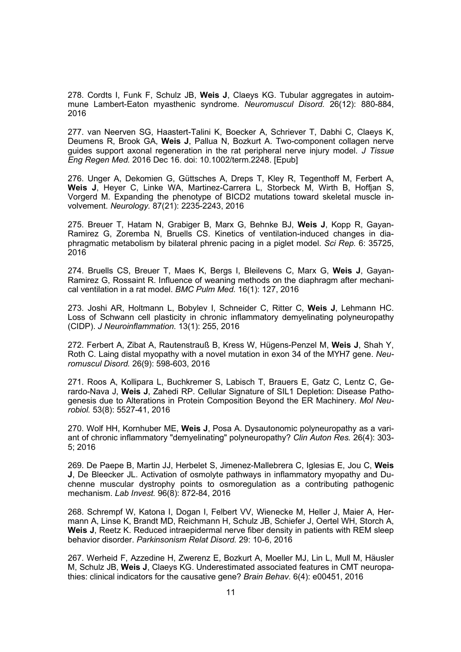278. Cordts I, Funk F, Schulz JB, **Weis J**, Claeys KG. Tubular aggregates in autoimmune Lambert-Eaton myasthenic syndrome. *Neuromuscul Disord.* 26(12): 880-884, 2016

277. van Neerven SG, Haastert-Talini K, Boecker A, Schriever T, Dabhi C, Claeys K, Deumens R, Brook GA, **Weis J**, Pallua N, Bozkurt A. Two-component collagen nerve guides support axonal regeneration in the rat peripheral nerve injury model. *J Tissue Eng Regen Med.* 2016 Dec 16. doi: 10.1002/term.2248. [Epub]

276. Unger A, Dekomien G, Güttsches A, Dreps T, Kley R, Tegenthoff M, Ferbert A, **Weis J**, Heyer C, Linke WA, Martinez-Carrera L, Storbeck M, Wirth B, Hoffjan S, Vorgerd M. Expanding the phenotype of BICD2 mutations toward skeletal muscle involvement. *Neurology.* 87(21): 2235-2243, 2016

275. Breuer T, Hatam N, Grabiger B, Marx G, Behnke BJ, **Weis J**, Kopp R, Gayan-Ramirez G, Zoremba N, Bruells CS. Kinetics of ventilation-induced changes in diaphragmatic metabolism by bilateral phrenic pacing in a piglet model. *Sci Rep.* 6: 35725, 2016

274. Bruells CS, Breuer T, Maes K, Bergs I, Bleilevens C, Marx G, **Weis J**, Gayan-Ramirez G, Rossaint R. Influence of weaning methods on the diaphragm after mechanical ventilation in a rat model. *BMC Pulm Med.* 16(1): 127, 2016

273. Joshi AR, Holtmann L, Bobylev I, Schneider C, Ritter C, **Weis J**, Lehmann HC. Loss of Schwann cell plasticity in chronic inflammatory demyelinating polyneuropathy (CIDP). *J Neuroinflammation.* 13(1): 255, 2016

272. Ferbert A, Zibat A, Rautenstrauß B, Kress W, Hügens-Penzel M, **Weis J**, Shah Y, Roth C. Laing distal myopathy with a novel mutation in exon 34 of the MYH7 gene. *Neuromuscul Disord.* 26(9): 598-603, 2016

271. Roos A, Kollipara L, Buchkremer S, Labisch T, Brauers E, Gatz C, Lentz C, Gerardo-Nava J, **Weis J**, Zahedi RP. Cellular Signature of SIL1 Depletion: Disease Pathogenesis due to Alterations in Protein Composition Beyond the ER Machinery. *Mol Neurobiol.* 53(8): 5527-41, 2016

270. Wolf HH, Kornhuber ME, **Weis J**, Posa A. Dysautonomic polyneuropathy as a variant of chronic inflammatory "demyelinating" polyneuropathy? *Clin Auton Res.* 26(4): 303- 5; 2016

269. De Paepe B, Martin JJ, Herbelet S, Jimenez-Mallebrera C, Iglesias E, Jou C, **Weis J**, De Bleecker JL. Activation of osmolyte pathways in inflammatory myopathy and Duchenne muscular dystrophy points to osmoregulation as a contributing pathogenic mechanism. *Lab Invest.* 96(8): 872-84, 2016

268. Schrempf W, Katona I, Dogan I, Felbert VV, Wienecke M, Heller J, Maier A, Hermann A, Linse K, Brandt MD, Reichmann H, Schulz JB, Schiefer J, Oertel WH, Storch A, **Weis J**, Reetz K. Reduced intraepidermal nerve fiber density in patients with REM sleep behavior disorder. *Parkinsonism Relat Disord.* 29: 10-6, 2016

267. Werheid F, Azzedine H, Zwerenz E, Bozkurt A, Moeller MJ, Lin L, Mull M, Häusler M, Schulz JB, **Weis J**, Claeys KG. Underestimated associated features in CMT neuropathies: clinical indicators for the causative gene? *Brain Behav.* 6(4): e00451, 2016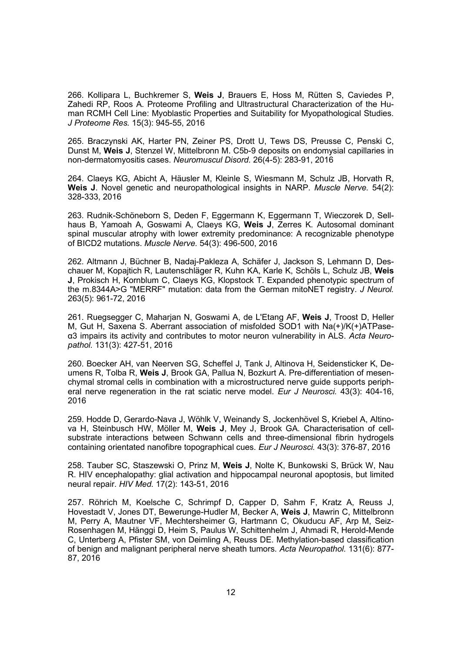266. Kollipara L, Buchkremer S, **Weis J**, Brauers E, Hoss M, Rütten S, Caviedes P, Zahedi RP, Roos A. Proteome Profiling and Ultrastructural Characterization of the Human RCMH Cell Line: Myoblastic Properties and Suitability for Myopathological Studies. *J Proteome Res.* 15(3): 945-55, 2016

265. Braczynski AK, Harter PN, Zeiner PS, Drott U, Tews DS, Preusse C, Penski C, Dunst M, **Weis J**, Stenzel W, Mittelbronn M. C5b-9 deposits on endomysial capillaries in non-dermatomyositis cases. *Neuromuscul Disord.* 26(4-5): 283-91, 2016

264. Claeys KG, Abicht A, Häusler M, Kleinle S, Wiesmann M, Schulz JB, Horvath R, **Weis J**. Novel genetic and neuropathological insights in NARP. *Muscle Nerve.* 54(2): 328-333, 2016

263. Rudnik-Schöneborn S, Deden F, Eggermann K, Eggermann T, Wieczorek D, Sellhaus B, Yamoah A, Goswami A, Claeys KG, **Weis J**, Zerres K. Autosomal dominant spinal muscular atrophy with lower extremity predominance: A recognizable phenotype of BICD2 mutations. *Muscle Nerve.* 54(3): 496-500, 2016

262. Altmann J, Büchner B, Nadaj-Pakleza A, Schäfer J, Jackson S, Lehmann D, Deschauer M, Kopajtich R, Lautenschläger R, Kuhn KA, Karle K, Schöls L, Schulz JB, **Weis J**, Prokisch H, Kornblum C, Claeys KG, Klopstock T. Expanded phenotypic spectrum of the m.8344A>G "MERRF" mutation: data from the German mitoNET registry. *J Neurol.* 263(5): 961-72, 2016

261. Ruegsegger C, Maharjan N, Goswami A, de L'Etang AF, **Weis J**, Troost D, Heller M, Gut H, Saxena S. Aberrant association of misfolded SOD1 with Na(+)/K(+)ATPaseα3 impairs its activity and contributes to motor neuron vulnerability in ALS. *Acta Neuropathol.* 131(3): 427-51, 2016

260. Boecker AH, van Neerven SG, Scheffel J, Tank J, Altinova H, Seidensticker K, Deumens R, Tolba R, **Weis J**, Brook GA, Pallua N, Bozkurt A. Pre-differentiation of mesenchymal stromal cells in combination with a microstructured nerve guide supports peripheral nerve regeneration in the rat sciatic nerve model. *Eur J Neurosci.* 43(3): 404-16, 2016

259. Hodde D, Gerardo-Nava J, Wöhlk V, Weinandy S, Jockenhövel S, Kriebel A, Altinova H, Steinbusch HW, Möller M, **Weis J**, Mey J, Brook GA. Characterisation of cellsubstrate interactions between Schwann cells and three-dimensional fibrin hydrogels containing orientated nanofibre topographical cues. *Eur J Neurosci.* 43(3): 376-87, 2016

258. Tauber SC, Staszewski O, Prinz M, **Weis J**, Nolte K, Bunkowski S, Brück W, Nau R. HIV encephalopathy: glial activation and hippocampal neuronal apoptosis, but limited neural repair. *HIV Med.* 17(2): 143-51, 2016

257. Röhrich M, Koelsche C, Schrimpf D, Capper D, Sahm F, Kratz A, Reuss J, Hovestadt V, Jones DT, Bewerunge-Hudler M, Becker A, **Weis J**, Mawrin C, Mittelbronn M, Perry A, Mautner VF, Mechtersheimer G, Hartmann C, Okuducu AF, Arp M, Seiz-Rosenhagen M, Hänggi D, Heim S, Paulus W, Schittenhelm J, Ahmadi R, Herold-Mende C, Unterberg A, Pfister SM, von Deimling A, Reuss DE. Methylation-based classification of benign and malignant peripheral nerve sheath tumors. *Acta Neuropathol.* 131(6): 877- 87, 2016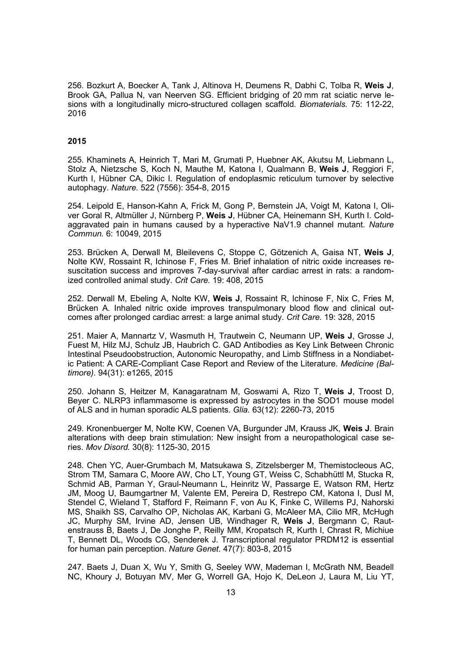256. Bozkurt A, Boecker A, Tank J, Altinova H, Deumens R, Dabhi C, Tolba R, **Weis J**, Brook GA, Pallua N, van Neerven SG. Efficient bridging of 20 mm rat sciatic nerve lesions with a longitudinally micro-structured collagen scaffold. *Biomaterials.* 75: 112-22, 2016

#### **2015**

255. Khaminets A, Heinrich T, Mari M, Grumati P, Huebner AK, Akutsu M, Liebmann L, Stolz A, Nietzsche S, Koch N, Mauthe M, Katona I, Qualmann B, **Weis J**, Reggiori F, Kurth I, Hübner CA, Dikic I. Regulation of endoplasmic reticulum turnover by selective autophagy. *Nature.* 522 (7556): 354-8, 2015

254. Leipold E, Hanson-Kahn A, Frick M, Gong P, Bernstein JA, Voigt M, Katona I, Oliver Goral R, Altmüller J, Nürnberg P, **Weis J**, Hübner CA, Heinemann SH, Kurth I. Coldaggravated pain in humans caused by a hyperactive NaV1.9 channel mutant. *Nature Commun.* 6: 10049, 2015

253. Brücken A, Derwall M, Bleilevens C, Stoppe C, Götzenich A, Gaisa NT, **Weis J**, Nolte KW, Rossaint R, Ichinose F, Fries M. Brief inhalation of nitric oxide increases resuscitation success and improves 7-day-survival after cardiac arrest in rats: a randomized controlled animal study. *Crit Care.* 19: 408, 2015

252. Derwall M, Ebeling A, Nolte KW, **Weis J**, Rossaint R, Ichinose F, Nix C, Fries M, Brücken A. Inhaled nitric oxide improves transpulmonary blood flow and clinical outcomes after prolonged cardiac arrest: a large animal study. *Crit Care.* 19: 328, 2015

251. Maier A, Mannartz V, Wasmuth H, Trautwein C, Neumann UP, **Weis J**, Grosse J, Fuest M, Hilz MJ, Schulz JB, Haubrich C. GAD Antibodies as Key Link Between Chronic Intestinal Pseudoobstruction, Autonomic Neuropathy, and Limb Stiffness in a Nondiabetic Patient: A CARE-Compliant Case Report and Review of the Literature. *Medicine (Baltimore).* 94(31): e1265, 2015

250. Johann S, Heitzer M, Kanagaratnam M, Goswami A, Rizo T, **Weis J**, Troost D, Beyer C. NLRP3 inflammasome is expressed by astrocytes in the SOD1 mouse model of ALS and in human sporadic ALS patients. *Glia.* 63(12): 2260-73, 2015

249. Kronenbuerger M, Nolte KW, Coenen VA, Burgunder JM, Krauss JK, **Weis J**. Brain alterations with deep brain stimulation: New insight from a neuropathological case series. *Mov Disord.* 30(8): 1125-30, 2015

248. Chen YC, Auer-Grumbach M, Matsukawa S, Zitzelsberger M, Themistocleous AC, Strom TM, Samara C, Moore AW, Cho LT, Young GT, Weiss C, Schabhüttl M, Stucka R, Schmid AB, Parman Y, Graul-Neumann L, Heinritz W, Passarge E, Watson RM, Hertz JM, Moog U, Baumgartner M, Valente EM, Pereira D, Restrepo CM, Katona I, Dusl M, Stendel C, Wieland T, Stafford F, Reimann F, von Au K, Finke C, Willems PJ, Nahorski MS, Shaikh SS, Carvalho OP, Nicholas AK, Karbani G, McAleer MA, Cilio MR, McHugh JC, Murphy SM, Irvine AD, Jensen UB, Windhager R, **Weis J**, Bergmann C, Rautenstrauss B, Baets J, De Jonghe P, Reilly MM, Kropatsch R, Kurth I, Chrast R, Michiue T, Bennett DL, Woods CG, Senderek J. Transcriptional regulator PRDM12 is essential for human pain perception. *Nature Genet.* 47(7): 803-8, 2015

247. Baets J, Duan X, Wu Y, Smith G, Seeley WW, Mademan I, McGrath NM, Beadell NC, Khoury J, Botuyan MV, Mer G, Worrell GA, Hojo K, DeLeon J, Laura M, Liu YT,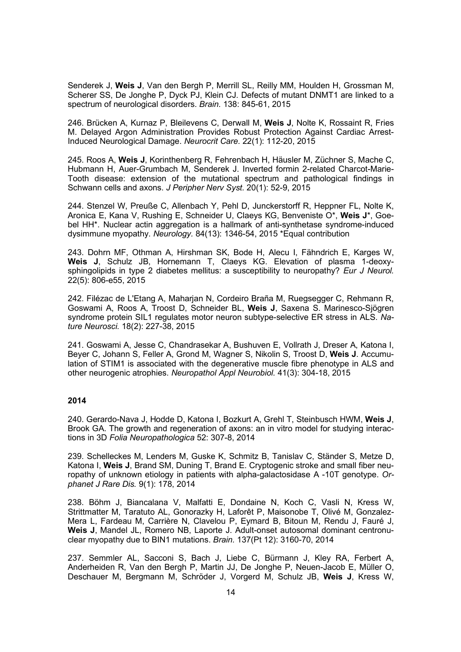Senderek J, **Weis J**, Van den Bergh P, Merrill SL, Reilly MM, Houlden H, Grossman M, Scherer SS, De Jonghe P, Dyck PJ, Klein CJ. Defects of mutant DNMT1 are linked to a spectrum of neurological disorders. *Brain.* 138: 845-61, 2015

246. Brücken A, Kurnaz P, Bleilevens C, Derwall M, **Weis J**, Nolte K, Rossaint R, Fries M. Delayed Argon Administration Provides Robust Protection Against Cardiac Arrest-Induced Neurological Damage. *Neurocrit Care.* 22(1): 112-20, 2015

245. Roos A, **Weis J**, Korinthenberg R, Fehrenbach H, Häusler M, Züchner S, Mache C, Hubmann H, Auer-Grumbach M, Senderek J. Inverted formin 2-related Charcot-Marie-Tooth disease: extension of the mutational spectrum and pathological findings in Schwann cells and axons. *J Peripher Nerv Syst.* 20(1): 52-9, 2015

244. Stenzel W, Preuße C, Allenbach Y, Pehl D, Junckerstorff R, Heppner FL, Nolte K, Aronica E, Kana V, Rushing E, Schneider U, Claeys KG, Benveniste O\*, **Weis J**\*, Goebel HH\*. Nuclear actin aggregation is a hallmark of anti-synthetase syndrome-induced dysimmune myopathy. *Neurology.* 84(13): 1346-54, 2015 \*Equal contribution

243. Dohrn MF, Othman A, Hirshman SK, Bode H, Alecu I, Fähndrich E, Karges W, **Weis J**, Schulz JB, Hornemann T, Claeys KG. Elevation of plasma 1-deoxysphingolipids in type 2 diabetes mellitus: a susceptibility to neuropathy? *Eur J Neurol.* 22(5): 806-e55, 2015

242. Filézac de L'Etang A, Maharjan N, Cordeiro Braña M, Ruegsegger C, Rehmann R, Goswami A, Roos A, Troost D, Schneider BL, **Weis J**, Saxena S. Marinesco-Sjögren syndrome protein SIL1 regulates motor neuron subtype-selective ER stress in ALS. *Nature Neurosci.* 18(2): 227-38, 2015

241. Goswami A, Jesse C, Chandrasekar A, Bushuven E, Vollrath J, Dreser A, Katona I, Beyer C, Johann S, Feller A, Grond M, Wagner S, Nikolin S, Troost D, **Weis J**. Accumulation of STIM1 is associated with the degenerative muscle fibre phenotype in ALS and other neurogenic atrophies. *Neuropathol Appl Neurobiol.* 41(3): 304-18, 2015

# **2014**

240. Gerardo-Nava J, Hodde D, Katona I, Bozkurt A, Grehl T, Steinbusch HWM, **Weis J**, Brook GA. The growth and regeneration of axons: an in vitro model for studying interactions in 3D *Folia Neuropathologica* 52: 307-8, 2014

239. Schelleckes M, Lenders M, Guske K, Schmitz B, Tanislav C, Ständer S, Metze D, Katona I, **Weis J**, Brand SM, Duning T, Brand E. Cryptogenic stroke and small fiber neuropathy of unknown etiology in patients with alpha-galactosidase A -10T genotype. *Orphanet J Rare Dis.* 9(1): 178, 2014

238. Böhm J, Biancalana V, Malfatti E, Dondaine N, Koch C, Vasli N, Kress W, Strittmatter M, Taratuto AL, Gonorazky H, Laforêt P, Maisonobe T, Olivé M, Gonzalez-Mera L, Fardeau M, Carrière N, Clavelou P, Eymard B, Bitoun M, Rendu J, Fauré J, **Weis J**, Mandel JL, Romero NB, Laporte J. Adult-onset autosomal dominant centronuclear myopathy due to BIN1 mutations. *Brain.* 137(Pt 12): 3160-70, 2014

237. Semmler AL, Sacconi S, Bach J, Liebe C, Bürmann J, Kley RA, Ferbert A, Anderheiden R, Van den Bergh P, Martin JJ, De Jonghe P, Neuen-Jacob E, Müller O, Deschauer M, Bergmann M, Schröder J, Vorgerd M, Schulz JB, **Weis J**, Kress W,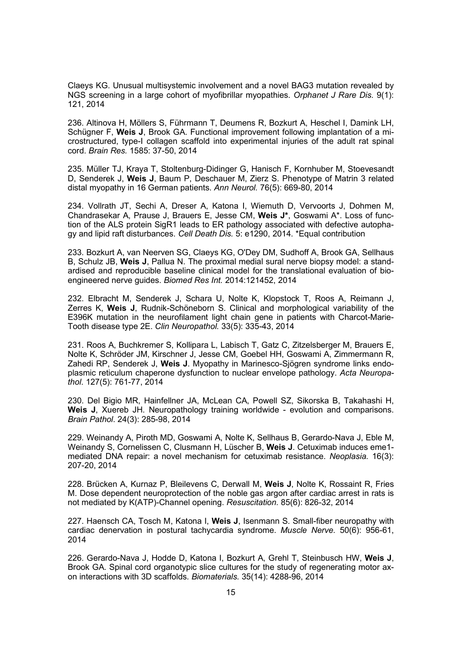Claeys KG. Unusual multisystemic involvement and a novel BAG3 mutation revealed by NGS screening in a large cohort of myofibrillar myopathies. *Orphanet J Rare Dis.* 9(1): 121, 2014

236. Altinova H, Möllers S, Führmann T, Deumens R, Bozkurt A, Heschel I, Damink LH, Schügner F, **Weis J**, Brook GA. Functional improvement following implantation of a microstructured, type-I collagen scaffold into experimental injuries of the adult rat spinal cord. *Brain Res.* 1585: 37-50, 2014

235. Müller TJ, Kraya T, Stoltenburg-Didinger G, Hanisch F, Kornhuber M, Stoevesandt D, Senderek J, **Weis J**, Baum P, Deschauer M, Zierz S. Phenotype of Matrin 3 related distal myopathy in 16 German patients. *Ann Neurol.* 76(5): 669-80, 2014

234. Vollrath JT, Sechi A, Dreser A, Katona I, Wiemuth D, Vervoorts J, Dohmen M, Chandrasekar A, Prause J, Brauers E, Jesse CM, **Weis J\***, Goswami A\*. Loss of function of the ALS protein SigR1 leads to ER pathology associated with defective autophagy and lipid raft disturbances. *Cell Death Dis.* 5: e1290, 2014. \*Equal contribution

233. Bozkurt A, van Neerven SG, Claeys KG, O'Dey DM, Sudhoff A, Brook GA, Sellhaus B, Schulz JB, **Weis J**, Pallua N. The proximal medial sural nerve biopsy model: a standardised and reproducible baseline clinical model for the translational evaluation of bioengineered nerve guides. *Biomed Res Int.* 2014:121452, 2014

232. Elbracht M, Senderek J, Schara U, Nolte K, Klopstock T, Roos A, Reimann J, Zerres K, **Weis J**, Rudnik-Schöneborn S. Clinical and morphological variability of the E396K mutation in the neurofilament light chain gene in patients with Charcot-Marie-Tooth disease type 2E. *Clin Neuropathol.* 33(5): 335-43, 2014

231. Roos A, Buchkremer S, Kollipara L, Labisch T, Gatz C, Zitzelsberger M, Brauers E, Nolte K, Schröder JM, Kirschner J, Jesse CM, Goebel HH, Goswami A, Zimmermann R, Zahedi RP, Senderek J, **Weis J**. Myopathy in Marinesco-Sjögren syndrome links endoplasmic reticulum chaperone dysfunction to nuclear envelope pathology. *Acta Neuropathol*. 127(5): 761-77, 2014

230. Del Bigio MR, Hainfellner JA, McLean CA, Powell SZ, Sikorska B, Takahashi H, **Weis J**, Xuereb JH. Neuropathology training worldwide - evolution and comparisons. *Brain Pathol*. 24(3): 285-98, 2014

229. Weinandy A, Piroth MD, Goswami A, Nolte K, Sellhaus B, Gerardo-Nava J, Eble M, Weinandy S, Cornelissen C, Clusmann H, Lüscher B, **Weis J**. Cetuximab induces eme1 mediated DNA repair: a novel mechanism for cetuximab resistance. *Neoplasia.* 16(3): 207-20, 2014

228. Brücken A, Kurnaz P, Bleilevens C, Derwall M, **Weis J**, Nolte K, Rossaint R, Fries M. Dose dependent neuroprotection of the noble gas argon after cardiac arrest in rats is not mediated by K(ATP)-Channel opening. *Resuscitation.* 85(6): 826-32, 2014

227. Haensch CA, Tosch M, Katona I, **Weis J**, Isenmann S. Small-fiber neuropathy with cardiac denervation in postural tachycardia syndrome. *Muscle Nerve.* 50(6): 956-61, 2014

226. Gerardo-Nava J, Hodde D, Katona I, Bozkurt A, Grehl T, Steinbusch HW, **Weis J**, Brook GA. Spinal cord organotypic slice cultures for the study of regenerating motor axon interactions with 3D scaffolds. *Biomaterials.* 35(14): 4288-96, 2014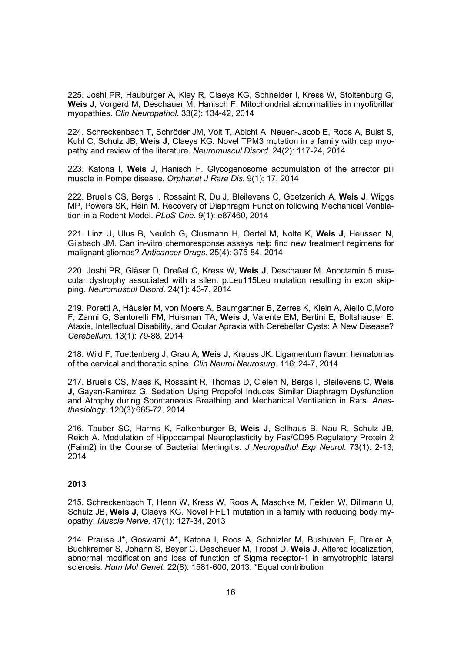225. Joshi PR, Hauburger A, Kley R, Claeys KG, Schneider I, Kress W, Stoltenburg G, **Weis J**, Vorgerd M, Deschauer M, Hanisch F. Mitochondrial abnormalities in myofibrillar myopathies. *Clin Neuropathol*. 33(2): 134-42, 2014

224. Schreckenbach T, Schröder JM, Voit T, Abicht A, Neuen-Jacob E, Roos A, Bulst S, Kuhl C, Schulz JB, **Weis J**, Claeys KG. Novel TPM3 mutation in a family with cap myopathy and review of the literature. *Neuromuscul Disord*. 24(2): 117-24, 2014

223. Katona I, **Weis J**, Hanisch F. Glycogenosome accumulation of the arrector pili muscle in Pompe disease. *Orphanet J Rare Dis.* 9(1): 17, 2014

222. Bruells CS, Bergs I, Rossaint R, Du J, Bleilevens C, Goetzenich A, **Weis J**, Wiggs MP, Powers SK, Hein M. Recovery of Diaphragm Function following Mechanical Ventilation in a Rodent Model. *PLoS One.* 9(1): e87460, 2014

221. Linz U, Ulus B, Neuloh G, Clusmann H, Oertel M, Nolte K, **Weis J**, Heussen N, Gilsbach JM. Can in-vitro chemoresponse assays help find new treatment regimens for malignant gliomas? *Anticancer Drugs.* 25(4): 375-84, 2014

220. Joshi PR, Gläser D, Dreßel C, Kress W, **Weis J**, Deschauer M. Anoctamin 5 muscular dystrophy associated with a silent p.Leu115Leu mutation resulting in exon skipping. *Neuromuscul Disord*. 24(1): 43-7, 2014

219. Poretti A, Häusler M, von Moers A, Baumgartner B, Zerres K, Klein A, Aiello C,Moro F, Zanni G, Santorelli FM, Huisman TA, **Weis J**, Valente EM, Bertini E, Boltshauser E. Ataxia, Intellectual Disability, and Ocular Apraxia with Cerebellar Cysts: A New Disease? *Cerebellum.* 13(1): 79-88, 2014

218. Wild F, Tuettenberg J, Grau A, **Weis J**, Krauss JK. Ligamentum flavum hematomas of the cervical and thoracic spine. *Clin Neurol Neurosurg*. 116: 24-7, 2014

217. Bruells CS, Maes K, Rossaint R, Thomas D, Cielen N, Bergs I, Bleilevens C, **Weis J**, Gayan-Ramirez G. Sedation Using Propofol Induces Similar Diaphragm Dysfunction and Atrophy during Spontaneous Breathing and Mechanical Ventilation in Rats. *Anesthesiology*. 120(3):665-72, 2014

216. Tauber SC, Harms K, Falkenburger B, **Weis J**, Sellhaus B, Nau R, Schulz JB, Reich A. Modulation of Hippocampal Neuroplasticity by Fas/CD95 Regulatory Protein 2 (Faim2) in the Course of Bacterial Meningitis. *J Neuropathol Exp Neurol*. 73(1): 2-13, 2014

# **2013**

215. Schreckenbach T, Henn W, Kress W, Roos A, Maschke M, Feiden W, Dillmann U, Schulz JB, **Weis J**, Claeys KG. Novel FHL1 mutation in a family with reducing body myopathy. *Muscle Nerve*. 47(1): 127-34, 2013

214. Prause J\*, Goswami A\*, Katona I, Roos A, Schnizler M, Bushuven E, Dreier A, Buchkremer S, Johann S, Beyer C, Deschauer M, Troost D, **Weis J**. Altered localization, abnormal modification and loss of function of Sigma receptor-1 in amyotrophic lateral sclerosis. *Hum Mol Genet.* 22(8): 1581-600, 2013. \*Equal contribution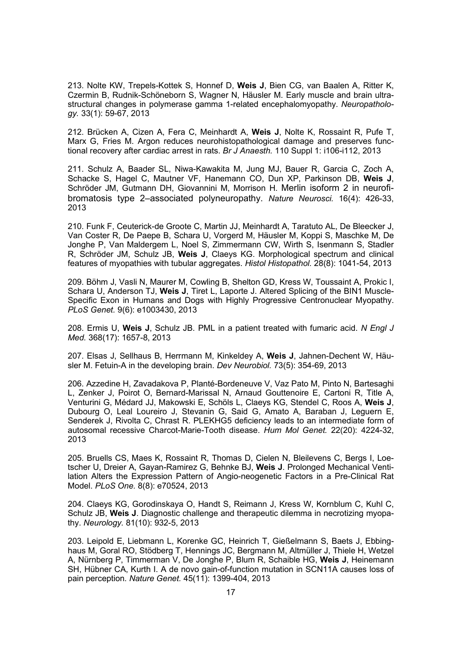213. Nolte KW, Trepels-Kottek S, Honnef D, **Weis J**, Bien CG, van Baalen A, Ritter K, Czermin B, Rudnik-Schöneborn S, Wagner N, Häusler M. Early muscle and brain ultrastructural changes in polymerase gamma 1-related encephalomyopathy. *Neuropathology.* 33(1): 59-67, 2013

212. Brücken A, Cizen A, Fera C, Meinhardt A, **Weis J**, Nolte K, Rossaint R, Pufe T, Marx G, Fries M. Argon reduces neurohistopathological damage and preserves functional recovery after cardiac arrest in rats. *Br J Anaesth.* 110 Suppl 1: i106-i112, 2013

211. Schulz A, Baader SL, Niwa-Kawakita M, Jung MJ, Bauer R, Garcia C, Zoch A, Schacke S, Hagel C, Mautner VF, Hanemann CO, Dun XP, Parkinson DB, **Weis J**, Schröder JM, Gutmann DH, Giovannini M, Morrison H. Merlin isoform 2 in neurofibromatosis type 2–associated polyneuropathy. *Nature Neurosci.* 16(4): 426-33, 2013

210. Funk F, Ceuterick-de Groote C, Martin JJ, Meinhardt A, Taratuto AL, De Bleecker J, Van Coster R, De Paepe B, Schara U, Vorgerd M, Häusler M, Koppi S, Maschke M, De Jonghe P, Van Maldergem L, Noel S, Zimmermann CW, Wirth S, Isenmann S, Stadler R, Schröder JM, Schulz JB, **Weis J**, Claeys KG. Morphological spectrum and clinical features of myopathies with tubular aggregates. *Histol Histopathol.* 28(8): 1041-54, 2013

209. Böhm J, Vasli N, Maurer M, Cowling B, Shelton GD, Kress W, Toussaint A, Prokic I, Schara U, Anderson TJ, **Weis J**, Tiret L, Laporte J. Altered Splicing of the BIN1 Muscle-Specific Exon in Humans and Dogs with Highly Progressive Centronuclear Myopathy. *PLoS Genet.* 9(6): e1003430, 2013

208. Ermis U, **Weis J**, Schulz JB. PML in a patient treated with fumaric acid. *N Engl J Med.* 368(17): 1657-8, 2013

207. Elsas J, Sellhaus B, Herrmann M, Kinkeldey A, **Weis J**, Jahnen-Dechent W, Häusler M. Fetuin-A in the developing brain. *Dev Neurobiol.* 73(5): 354-69, 2013

206. Azzedine H, Zavadakova P, Planté-Bordeneuve V, Vaz Pato M, Pinto N, Bartesaghi L, Zenker J, Poirot O, Bernard-Marissal N, Arnaud Gouttenoire E, Cartoni R, Title A, Venturini G, Médard JJ, Makowski E, Schöls L, Claeys KG, Stendel C, Roos A, **Weis J**, Dubourg O, Leal Loureiro J, Stevanin G, Said G, Amato A, Baraban J, Leguern E, Senderek J, Rivolta C, Chrast R. PLEKHG5 deficiency leads to an intermediate form of autosomal recessive Charcot-Marie-Tooth disease. *Hum Mol Genet.* 22(20): 4224-32, 2013

205. Bruells CS, Maes K, Rossaint R, Thomas D, Cielen N, Bleilevens C, Bergs I, Loetscher U, Dreier A, Gayan-Ramirez G, Behnke BJ, **Weis J**. Prolonged Mechanical Ventilation Alters the Expression Pattern of Angio-neogenetic Factors in a Pre-Clinical Rat Model. *PLoS One.* 8(8): e70524, 2013

204. Claeys KG, Gorodinskaya O, Handt S, Reimann J, Kress W, Kornblum C, Kuhl C, Schulz JB, **Weis J**. Diagnostic challenge and therapeutic dilemma in necrotizing myopathy. *Neurology.* 81(10): 932-5, 2013

203. Leipold E, Liebmann L, Korenke GC, Heinrich T, Gießelmann S, Baets J, Ebbinghaus M, Goral RO, Stödberg T, Hennings JC, Bergmann M, Altmüller J, Thiele H, Wetzel A, Nürnberg P, Timmerman V, De Jonghe P, Blum R, Schaible HG, **Weis J**, Heinemann SH, Hübner CA, Kurth I. A de novo gain-of-function mutation in SCN11A causes loss of pain perception. *Nature Genet.* 45(11): 1399-404, 2013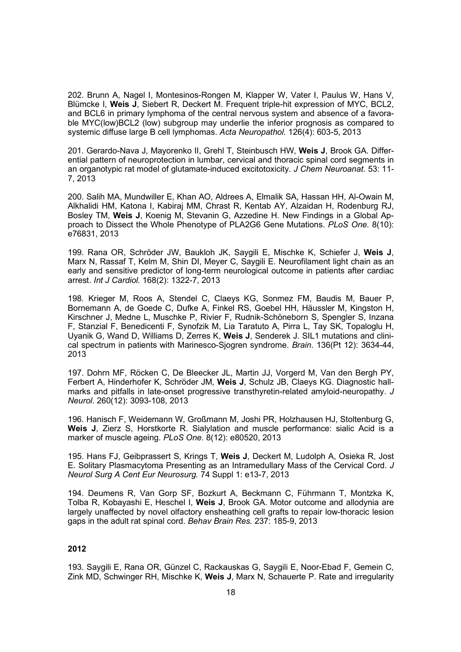202. Brunn A, Nagel I, Montesinos-Rongen M, Klapper W, Vater I, Paulus W, Hans V, Blümcke I, **Weis J**, Siebert R, Deckert M. Frequent triple-hit expression of MYC, BCL2, and BCL6 in primary lymphoma of the central nervous system and absence of a favorable MYC(low)BCL2 (low) subgroup may underlie the inferior prognosis as compared to systemic diffuse large B cell lymphomas. *Acta Neuropathol.* 126(4): 603-5, 2013

201. Gerardo-Nava J, Mayorenko II, Grehl T, Steinbusch HW, **Weis J**, Brook GA. Differential pattern of neuroprotection in lumbar, cervical and thoracic spinal cord segments in an organotypic rat model of glutamate-induced excitotoxicity. *J Chem Neuroanat.* 53: 11- 7, 2013

200. Salih MA, Mundwiller E, Khan AO, Aldrees A, Elmalik SA, Hassan HH, Al-Owain M, Alkhalidi HM, Katona I, Kabiraj MM, Chrast R, Kentab AY, Alzaidan H, Rodenburg RJ, Bosley TM, **Weis J**, Koenig M, Stevanin G, Azzedine H. New Findings in a Global Approach to Dissect the Whole Phenotype of PLA2G6 Gene Mutations. *PLoS One.* 8(10): e76831, 2013

199. Rana OR, Schröder JW, Baukloh JK, Saygili E, Mischke K, Schiefer J, **Weis J**, Marx N, Rassaf T, Kelm M, Shin DI, Meyer C, Saygili E. Neurofilament light chain as an early and sensitive predictor of long-term neurological outcome in patients after cardiac arrest. *Int J Cardiol.* 168(2): 1322-7, 2013

198. Krieger M, Roos A, Stendel C, Claeys KG, Sonmez FM, Baudis M, Bauer P, Bornemann A, de Goede C, Dufke A, Finkel RS, Goebel HH, Häussler M, Kingston H, Kirschner J, Medne L, Muschke P, Rivier F, Rudnik-Schöneborn S, Spengler S, Inzana F, Stanzial F, Benedicenti F, Synofzik M, Lia Taratuto A, Pirra L, Tay SK, Topaloglu H, Uyanik G, Wand D, Williams D, Zerres K, **Weis J**, Senderek J. SIL1 mutations and clinical spectrum in patients with Marinesco-Sjogren syndrome. *Brain*. 136(Pt 12): 3634-44, 2013

197. Dohrn MF, Röcken C, De Bleecker JL, Martin JJ, Vorgerd M, Van den Bergh PY, Ferbert A, Hinderhofer K, Schröder JM, **Weis J**, Schulz JB, Claeys KG. Diagnostic hallmarks and pitfalls in late-onset progressive transthyretin-related amyloid-neuropathy. *J Neurol*. 260(12): 3093-108, 2013

196. Hanisch F, Weidemann W, Großmann M, Joshi PR, Holzhausen HJ, Stoltenburg G, **Weis J**, Zierz S, Horstkorte R. Sialylation and muscle performance: sialic Acid is a marker of muscle ageing. *PLoS One*. 8(12): e80520, 2013

195. Hans FJ, Geibprassert S, Krings T, **Weis J**, Deckert M, Ludolph A, Osieka R, Jost E. Solitary Plasmacytoma Presenting as an Intramedullary Mass of the Cervical Cord. *J Neurol Surg A Cent Eur Neurosurg.* 74 Suppl 1: e13-7, 2013

194. Deumens R, Van Gorp SF, Bozkurt A, Beckmann C, Führmann T, Montzka K, Tolba R, Kobayashi E, Heschel I, **Weis J**, Brook GA. Motor outcome and allodynia are largely unaffected by novel olfactory ensheathing cell grafts to repair low-thoracic lesion gaps in the adult rat spinal cord. *Behav Brain Res.* 237: 185-9, 2013

### **2012**

193. Saygili E, Rana OR, Günzel C, Rackauskas G, Saygili E, Noor-Ebad F, Gemein C, Zink MD, Schwinger RH, Mischke K, **Weis J**, Marx N, Schauerte P. Rate and irregularity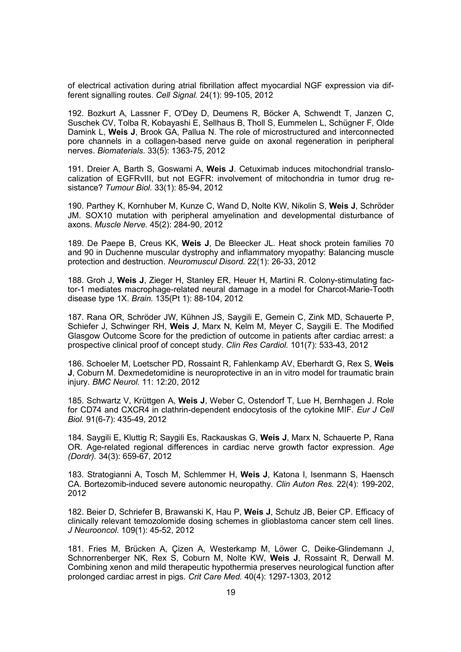of electrical activation during atrial fibrillation affect myocardial NGF expression via different signalling routes. *Cell Signal.* 24(1): 99-105, 2012

192. Bozkurt A, Lassner F, O'Dey D, Deumens R, Böcker A, Schwendt T, Janzen C, Suschek CV, Tolba R, Kobayashi E, Sellhaus B, Tholl S, Eummelen L, Schügner F, Olde Damink L, **Weis J**, Brook GA, Pallua N. The role of microstructured and interconnected pore channels in a collagen-based nerve guide on axonal regeneration in peripheral nerves. *Biomaterials.* 33(5): 1363-75, 2012

191. Dreier A, Barth S, Goswami A, **Weis J**. Cetuximab induces mitochondrial translocalization of EGFRvIII, but not EGFR: involvement of mitochondria in tumor drug resistance? *Tumour Biol.* 33(1): 85-94, 2012

190. Parthey K, Kornhuber M, Kunze C, Wand D, Nolte KW, Nikolin S, **Weis J**, Schröder JM. SOX10 mutation with peripheral amyelination and developmental disturbance of axons. *Muscle Nerve.* 45(2): 284-90, 2012

189. De Paepe B, Creus KK, **Weis J**, De Bleecker JL. Heat shock protein families 70 and 90 in Duchenne muscular dystrophy and inflammatory myopathy: Balancing muscle protection and destruction. *Neuromuscul Disord.* 22(1): 26-33, 2012

188. Groh J, **Weis J**, Zieger H, Stanley ER, Heuer H, Martini R. Colony-stimulating factor-1 mediates macrophage-related neural damage in a model for Charcot-Marie-Tooth disease type 1X. *Brain.* 135(Pt 1): 88-104, 2012

187. Rana OR, Schröder JW, Kühnen JS, Saygili E, Gemein C, Zink MD, Schauerte P, Schiefer J, Schwinger RH, **Weis J**, Marx N, Kelm M, Meyer C, Saygili E. The Modified Glasgow Outcome Score for the prediction of outcome in patients after cardiac arrest: a prospective clinical proof of concept study. *Clin Res Cardiol.* 101(7): 533-43, 2012

186. Schoeler M, Loetscher PD, Rossaint R, Fahlenkamp AV, Eberhardt G, Rex S, **Weis J**, Coburn M. Dexmedetomidine is neuroprotective in an in vitro model for traumatic brain injury. *BMC Neurol.* 11: 12:20, 2012

185. Schwartz V, Krüttgen A, **Weis J**, Weber C, Ostendorf T, Lue H, Bernhagen J. Role for CD74 and CXCR4 in clathrin-dependent endocytosis of the cytokine MIF. *Eur J Cell Biol.* 91(6-7): 435-49, 2012

184. Saygili E, Kluttig R; Saygili Es, Rackauskas G, **Weis J**, Marx N, Schauerte P, Rana OR. Age-related regional differences in cardiac nerve growth factor expression. *Age (Dordr).* 34(3): 659-67, 2012

183. Stratogianni A, Tosch M, Schlemmer H, **Weis J**, Katona I, Isenmann S, Haensch CA. Bortezomib-induced severe autonomic neuropathy. *Clin Auton Res.* 22(4): 199-202, 2012

182. Beier D, Schriefer B, Brawanski K, Hau P, **Weis J**, Schulz JB, Beier CP. Efficacy of clinically relevant temozolomide dosing schemes in glioblastoma cancer stem cell lines. *J Neurooncol.* 109(1): 45-52, 2012

181. Fries M, Brücken A, Çizen A, Westerkamp M, Löwer C, Deike-Glindemann J, Schnorrenberger NK, Rex S, Coburn M, Nolte KW, **Weis J**, Rossaint R, Derwall M. Combining xenon and mild therapeutic hypothermia preserves neurological function after prolonged cardiac arrest in pigs. *Crit Care Med.* 40(4): 1297-1303, 2012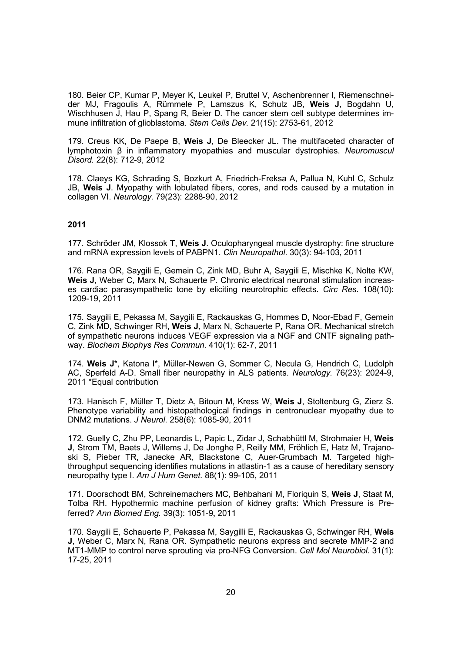180. Beier CP, Kumar P, Meyer K, Leukel P, Bruttel V, Aschenbrenner I, Riemenschneider MJ, Fragoulis A, Rümmele P, Lamszus K, Schulz JB, **Weis J**, Bogdahn U, Wischhusen J, Hau P, Spang R, Beier D. The cancer stem cell subtype determines immune infiltration of glioblastoma. *Stem Cells Dev.* 21(15): 2753-61, 2012

179. Creus KK, De Paepe B, **Weis J**, De Bleecker JL. The multifaceted character of lymphotoxin β in inflammatory myopathies and muscular dystrophies. *Neuromuscul Disord.* 22(8): 712-9, 2012

178. Claeys KG, Schrading S, Bozkurt A, Friedrich-Freksa A, Pallua N, Kuhl C, Schulz JB, **Weis J**. Myopathy with lobulated fibers, cores, and rods caused by a mutation in collagen VI. *Neurology.* 79(23): 2288-90, 2012

# **2011**

177. Schröder JM, Klossok T, **Weis J**. Oculopharyngeal muscle dystrophy: fine structure and mRNA expression levels of PABPN1. *Clin Neuropathol*. 30(3): 94-103, 2011

176. Rana OR, Saygili E, Gemein C, Zink MD, Buhr A, Saygili E, Mischke K, Nolte KW, **Weis J**, Weber C, Marx N, Schauerte P. Chronic electrical neuronal stimulation increases cardiac parasympathetic tone by eliciting neurotrophic effects. *Circ Res.* 108(10): 1209-19, 2011

175. Saygili E, Pekassa M, Saygili E, Rackauskas G, Hommes D, Noor-Ebad F, Gemein C, Zink MD, Schwinger RH, **Weis J**, Marx N, Schauerte P, Rana OR. Mechanical stretch of sympathetic neurons induces VEGF expression via a NGF and CNTF signaling pathway. *Biochem Biophys Res Commun.* 410(1): 62-7, 2011

174. **Weis J**\*, Katona I\*, Müller-Newen G, Sommer C, Necula G, Hendrich C, Ludolph AC, Sperfeld A-D. Small fiber neuropathy in ALS patients. *Neurology.* 76(23): 2024-9, 2011 \*Equal contribution

173. Hanisch F, Müller T, Dietz A, Bitoun M, Kress W, **Weis J**, Stoltenburg G, Zierz S. Phenotype variability and histopathological findings in centronuclear myopathy due to DNM2 mutations. *J Neurol*. 258(6): 1085-90, 2011

172. Guelly C, Zhu PP, Leonardis L, Papic L, Zidar J, Schabhüttl M, Strohmaier H, **Weis J**, Strom TM, Baets J, Willems J, De Jonghe P, Reilly MM, Fröhlich E, Hatz M, Trajanoski S, Pieber TR, Janecke AR, Blackstone C, Auer-Grumbach M. Targeted highthroughput sequencing identifies mutations in atlastin-1 as a cause of hereditary sensory neuropathy type I. *Am J Hum Genet.* 88(1): 99-105, 2011

171. Doorschodt BM, Schreinemachers MC, Behbahani M, Floriquin S, **Weis J**, Staat M, Tolba RH. Hypothermic machine perfusion of kidney grafts: Which Pressure is Preferred? *Ann Biomed Eng.* 39(3): 1051-9, 2011

170. Saygili E, Schauerte P, Pekassa M, Saygilli E, Rackauskas G, Schwinger RH, **Weis J**, Weber C, Marx N, Rana OR. Sympathetic neurons express and secrete MMP-2 and MT1-MMP to control nerve sprouting via pro-NFG Conversion. *Cell Mol Neurobiol.* 31(1): 17-25, 2011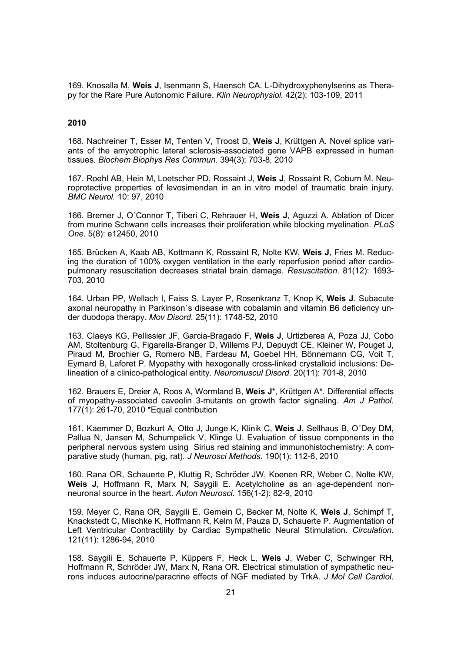169. Knosalla M, **Weis J**, Isenmann S, Haensch CA. L-Dihydroxyphenylserins as Therapy for the Rare Pure Autonomic Failure. *Klin Neurophysiol.* 42(2): 103-109, 2011

### **2010**

168. Nachreiner T, Esser M, Tenten V, Troost D, **Weis J**, Krüttgen A. Novel splice variants of the amyotrophic lateral sclerosis-associated gene VAPB expressed in human tissues. *Biochem Biophys Res Commun.* 394(3): 703-8, 2010

167. Roehl AB, Hein M, Loetscher PD, Rossaint J, **Weis J**, Rossaint R, Coburn M. Neuroprotective properties of levosimendan in an in vitro model of traumatic brain injury. *BMC Neurol.* 10: 97, 2010

166. Bremer J, O´Connor T, Tiberi C, Rehrauer H, **Weis J**, Aguzzi A. Ablation of Dicer from murine Schwann cells increases their proliferation while blocking myelination. *PLoS One.* 5(8): e12450, 2010

165. Brücken A, Kaab AB, Kottmann K, Rossaint R, Nolte KW, **Weis J**, Fries M. Reducing the duration of 100% oxygen ventilation in the early reperfusion period after cardiopulmonary resuscitation decreases striatal brain damage. *Resuscitation.* 81(12): 1693- 703, 2010

164. Urban PP, Wellach I, Faiss S, Layer P, Rosenkranz T, Knop K, **Weis J**. Subacute axonal neuropathy in Parkinson´s disease with cobalamin and vitamin B6 deficiency under duodopa therapy. *Mov Disord.* 25(11): 1748-52, 2010

163. Claeys KG, Pellissier JF, Garcia-Bragado F, **Weis J**, Urtizberea A, Poza JJ, Cobo AM, Stoltenburg G, Figarella-Branger D, Willems PJ, Depuydt CE, Kleiner W, Pouget J, Piraud M, Brochier G, Romero NB, Fardeau M, Goebel HH, Bönnemann CG, Voit T, Eymard B, Laforet P. Myopathy with hexogonally cross-linked crystalloid inclusions: Delineation of a clinico-pathological entity. *Neuromuscul Disord.* 20(11): 701-8, 2010

162. Brauers E, Dreier A, Roos A, Wormland B, **Weis J**\*, Krüttgen A\*. Differential effects of myopathy-associated caveolin 3-mutants on growth factor signaling. *Am J Pathol.* 177(1): 261-70, 2010 \*Equal contribution

161. Kaemmer D, Bozkurt A, Otto J, Junge K, Klinik C, **Weis J**, Sellhaus B, O´Dey DM, Pallua N, Jansen M, Schumpelick V, Klinge U. Evaluation of tissue components in the peripheral nervous system using Sirius red staining and immunohistochemistry: A comparative study (human, pig, rat). *J Neurosci Methods.* 190(1): 112-6, 2010

160. Rana OR, Schauerte P, Kluttig R, Schröder JW, Koenen RR, Weber C, Nolte KW, **Weis J**, Hoffmann R, Marx N, Saygili E. Acetylcholine as an age-dependent nonneuronal source in the heart. *Auton Neurosci.* 156(1-2): 82-9, 2010

159. Meyer C, Rana OR, Saygili E, Gemein C, Becker M, Nolte K, **Weis J**, Schimpf T, Knackstedt C, Mischke K, Hoffmann R, Kelm M, Pauza D, Schauerte P. Augmentation of Left Ventricular Contractility by Cardiac Sympathetic Neural Stimulation. *Circulation.* 121(11): 1286-94, 2010

158. Saygili E, Schauerte P, Küppers F, Heck L, **Weis J**, Weber C, Schwinger RH, Hoffmann R, Schröder JW, Marx N, Rana OR. Electrical stimulation of sympathetic neurons induces autocrine/paracrine effects of NGF mediated by TrkA. *J Mol Cell Cardiol.*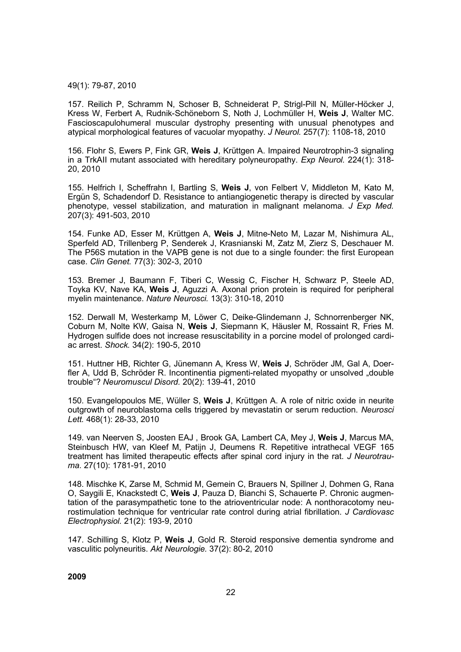#### 49(1): 79-87, 2010

157. Reilich P, Schramm N, Schoser B, Schneiderat P, Strigl-Pill N, Müller-Höcker J, Kress W, Ferbert A, Rudnik-Schöneborn S, Noth J, Lochmüller H, **Weis J**, Walter MC. Fascioscapulohumeral muscular dystrophy presenting with unusual phenotypes and atypical morphological features of vacuolar myopathy. *J Neurol.* 257(7): 1108-18, 2010

156. Flohr S, Ewers P, Fink GR, **Weis J**, Krüttgen A. Impaired Neurotrophin-3 signaling in a TrkAII mutant associated with hereditary polyneuropathy. *Exp Neurol.* 224(1): 318- 20, 2010

155. Helfrich I, Scheffrahn I, Bartling S, **Weis J**, von Felbert V, Middleton M, Kato M, Ergün S, Schadendorf D. Resistance to antiangiogenetic therapy is directed by vascular phenotype, vessel stabilization, and maturation in malignant melanoma. *J Exp Med.* 207(3): 491-503, 2010

154. Funke AD, Esser M, Krüttgen A, **Weis J**, Mitne-Neto M, Lazar M, Nishimura AL, Sperfeld AD, Trillenberg P, Senderek J, Krasnianski M, Zatz M, Zierz S, Deschauer M. The P56S mutation in the VAPB gene is not due to a single founder: the first European case. *Clin Genet.* 77(3): 302-3, 2010

153. Bremer J, Baumann F, Tiberi C, Wessig C, Fischer H, Schwarz P, Steele AD, Toyka KV, Nave KA, **Weis J**, Aguzzi A. Axonal prion protein is required for peripheral myelin maintenance. *Nature Neurosci.* 13(3): 310-18, 2010

152. Derwall M, Westerkamp M, Löwer C, Deike-Glindemann J, Schnorrenberger NK, Coburn M, Nolte KW, Gaisa N, **Weis J**, Siepmann K, Häusler M, Rossaint R, Fries M. Hydrogen sulfide does not increase resuscitability in a porcine model of prolonged cardiac arrest. *Shock.* 34(2): 190-5, 2010

151. Huttner HB, Richter G, Jünemann A, Kress W, **Weis J**, Schröder JM, Gal A, Doerfler A, Udd B, Schröder R. Incontinentia pigmenti-related myopathy or unsolved "double trouble"? *Neuromuscul Disord.* 20(2): 139-41, 2010

150. Evangelopoulos ME, Wüller S, **Weis J**, Krüttgen A. A role of nitric oxide in neurite outgrowth of neuroblastoma cells triggered by mevastatin or serum reduction. *Neurosci Lett.* 468(1): 28-33, 2010

149. van Neerven S, Joosten EAJ , Brook GA, Lambert CA, Mey J, **Weis J**, Marcus MA, Steinbusch HW, van Kleef M, Patijn J, Deumens R. Repetitive intrathecal VEGF 165 treatment has limited therapeutic effects after spinal cord injury in the rat. *J Neurotrauma.* 27(10): 1781-91, 2010

148. Mischke K, Zarse M, Schmid M, Gemein C, Brauers N, Spillner J, Dohmen G, Rana O, Saygili E, Knackstedt C, **Weis J**, Pauza D, Bianchi S, Schauerte P. Chronic augmentation of the parasympathetic tone to the atrioventricular node: A nonthoracotomy neurostimulation technique for ventricular rate control during atrial fibrillation. *J Cardiovasc Electrophysiol.* 21(2): 193-9, 2010

147. Schilling S, Klotz P, **Weis J**, Gold R. Steroid responsive dementia syndrome and vasculitic polyneuritis. *Akt Neurologie.* 37(2): 80-2, 2010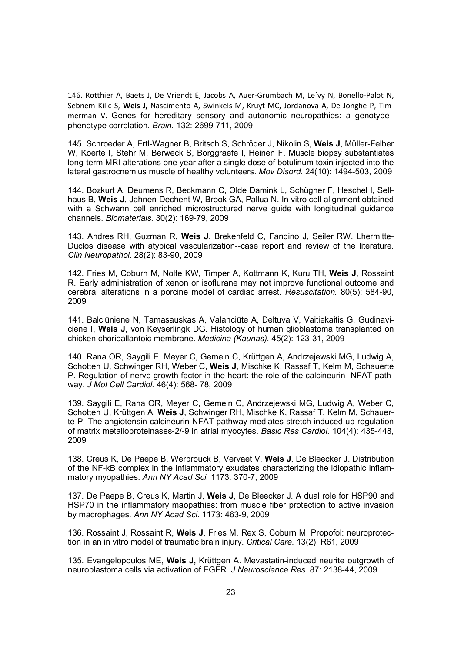146. Rotthier A, Baets J, De Vriendt E, Jacobs A, Auer-Grumbach M, Le´vy N, Bonello-Palot N, Sebnem Kilic S, **Weis J,** Nascimento A, Swinkels M, Kruyt MC, Jordanova A, De Jonghe P, Timmerman V. Genes for hereditary sensory and autonomic neuropathies: a genotype– phenotype correlation. *Brain.* 132: 2699-711, 2009

145. Schroeder A, Ertl-Wagner B, Britsch S, Schröder J, Nikolin S, **Weis J**, Müller-Felber W, Koerte I, Stehr M, Berweck S, Borggraefe I, Heinen F. Muscle biopsy substantiates long-term MRI alterations one year after a single dose of botulinum toxin injected into the lateral gastrocnemius muscle of healthy volunteers. *Mov Disord.* 24(10): 1494-503, 2009

144. Bozkurt A, Deumens R, Beckmann C, Olde Damink L, Schügner F, Heschel I, Sellhaus B, **Weis J**, Jahnen-Dechent W, Brook GA, Pallua N. In vitro cell alignment obtained with a Schwann cell enriched microstructured nerve guide with longitudinal guidance channels. *Biomaterials.* 30(2): 169-79, 2009

143. Andres RH, Guzman R, **Weis J**, Brekenfeld C, Fandino J, Seiler RW. Lhermitte-Duclos disease with atypical vascularization--case report and review of the literature. *Clin Neuropathol.* 28(2): 83-90, 2009

142. Fries M, Coburn M, Nolte KW, Timper A, Kottmann K, Kuru TH, **Weis J**, Rossaint R. Early administration of xenon or isoflurane may not improve functional outcome and cerebral alterations in a porcine model of cardiac arrest. *Resuscitation.* 80(5): 584-90, 2009

141. Balciūniene N, Tamasauskas A, Valanciūte A, Deltuva V, Vaitiekaitis G, Gudinaviciene I, **Weis J**, von Keyserlingk DG. Histology of human glioblastoma transplanted on chicken chorioallantoic membrane. *Medicina (Kaunas).* 45(2): 123-31, 2009

140. Rana OR, Saygili E, Meyer C, Gemein C, Krüttgen A, Andrzejewski MG, Ludwig A, Schotten U, Schwinger RH, Weber C, **Weis J**, Mischke K, Rassaf T, Kelm M, Schauerte P. Regulation of nerve growth factor in the heart: the role of the calcineurin- NFAT pathway. *J Mol Cell Cardiol.* 46(4): 568- 78, 2009

139. Saygili E, Rana OR, Meyer C, Gemein C, Andrzejewski MG, Ludwig A, Weber C, Schotten U, Krüttgen A, **Weis J**, Schwinger RH, Mischke K, Rassaf T, Kelm M, Schauerte P. The angiotensin-calcineurin-NFAT pathway mediates stretch-induced up-regulation of matrix metalloproteinases-2/-9 in atrial myocytes. *Basic Res Cardiol.* 104(4): 435-448, 2009

138. Creus K, De Paepe B, Werbrouck B, Vervaet V, **Weis J**, De Bleecker J. Distribution of the NF-kB complex in the inflammatory exudates characterizing the idiopathic inflammatory myopathies. *Ann NY Acad Sci.* 1173: 370-7, 2009

137. De Paepe B, Creus K, Martin J, **Weis J**, De Bleecker J. A dual role for HSP90 and HSP70 in the inflammatory maopathies: from muscle fiber protection to active invasion by macrophages. *Ann NY Acad Sci.* 1173: 463-9, 2009

136. Rossaint J, Rossaint R, **Weis J**, Fries M, Rex S, Coburn M. Propofol: neuroprotection in an in vitro model of traumatic brain injury. *Critical Care.* 13(2): R61, 2009

135. Evangelopoulos ME, **Weis J,** Krüttgen A. Mevastatin-induced neurite outgrowth of neuroblastoma cells via activation of EGFR. *J Neuroscience Res.* 87: 2138-44, 2009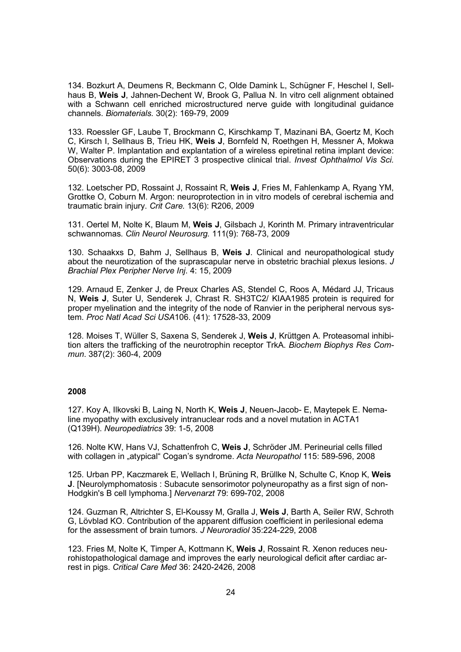134. Bozkurt A, Deumens R, Beckmann C, Olde Damink L, Schügner F, Heschel I, Sellhaus B, **Weis J**, Jahnen-Dechent W, Brook G, Pallua N. In vitro cell alignment obtained with a Schwann cell enriched microstructured nerve guide with longitudinal guidance channels. *Biomaterials.* 30(2): 169-79, 2009

133. Roessler GF, Laube T, Brockmann C, Kirschkamp T, Mazinani BA, Goertz M, Koch C, Kirsch I, Sellhaus B, Trieu HK, **Weis J**, Bornfeld N, Roethgen H, Messner A, Mokwa W, Walter P. Implantation and explantation of a wireless epiretinal retina implant device: Observations during the EPIRET 3 prospective clinical trial. *Invest Ophthalmol Vis Sci.* 50(6): 3003-08, 2009

132. Loetscher PD, Rossaint J, Rossaint R, **Weis J**, Fries M, Fahlenkamp A, Ryang YM, Grottke O, Coburn M. Argon: neuroprotection in in vitro models of cerebral ischemia and traumatic brain injury. *Crit Care.* 13(6): R206, 2009

131. Oertel M, Nolte K, Blaum M, **Weis J**, Gilsbach J, Korinth M. Primary intraventricular schwannomas. *Clin Neurol Neurosurg.* 111(9): 768-73, 2009

130. Schaakxs D, Bahm J, Sellhaus B, **Weis J**. Clinical and neuropathological study about the neurotization of the suprascapular nerve in obstetric brachial plexus lesions. *J Brachial Plex Peripher Nerve Inj*. 4: 15, 2009

129. Arnaud E, Zenker J, de Preux Charles AS, Stendel C, Roos A, Médard JJ, Tricaus N, **Weis J**, Suter U, Senderek J, Chrast R. SH3TC2/ KIAA1985 protein is required for proper myelination and the integrity of the node of Ranvier in the peripheral nervous system. *Proc Natl Acad Sci USA*106. (41): 17528-33, 2009

128. Moises T, Wüller S, Saxena S, Senderek J, **Weis J**, Krüttgen A. Proteasomal inhibition alters the trafficking of the neurotrophin receptor TrkA. *Biochem Biophys Res Commun*. 387(2): 360-4, 2009

### **2008**

127. Koy A, Ilkovski B, Laing N, North K, **Weis J**, Neuen-Jacob- E, Maytepek E. Nemaline myopathy with exclusively intranuclear rods and a novel mutation in ACTA1 (Q139H). *Neuropediatrics* 39: 1-5, 2008

126. Nolte KW, Hans VJ, Schattenfroh C, **Weis J**, Schröder JM. Perineurial cells filled with collagen in "atypical" Cogan's syndrome. *Acta Neuropathol* 115: 589-596, 2008

125. Urban PP, Kaczmarek E, Wellach I, Brüning R, Brüllke N, Schulte C, Knop K, **Weis J**. [Neurolymphomatosis : Subacute sensorimotor polyneuropathy as a first sign of non-Hodgkin's B cell lymphoma.] *Nervenarzt* 79: 699-702, 2008

124. Guzman R, Altrichter S, El-Koussy M, Gralla J, **Weis J**, Barth A, Seiler RW, Schroth G, Lövblad KO. Contribution of the apparent diffusion coefficient in perilesional edema for the assessment of brain tumors. *J Neuroradiol* 35:224-229, 2008

123. Fries M, Nolte K, Timper A, Kottmann K, **Weis J**, Rossaint R. Xenon reduces neurohistopathological damage and improves the early neurological deficit after cardiac arrest in pigs. *Critical Care Med* 36: 2420-2426, 2008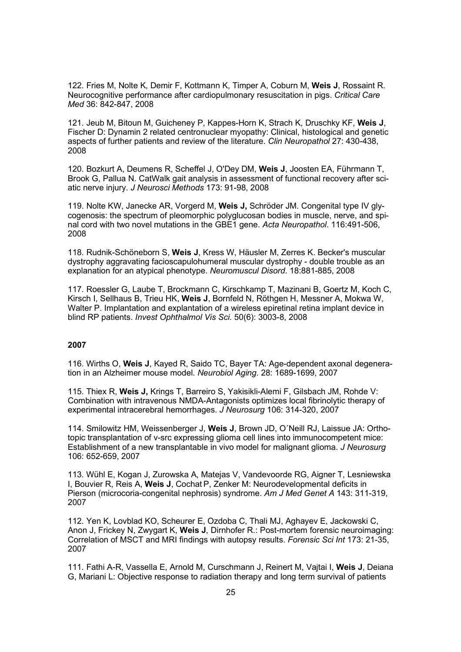122. Fries M, Nolte K, Demir F, Kottmann K, Timper A, Coburn M, **Weis J**, Rossaint R. Neurocognitive performance after cardiopulmonary resuscitation in pigs. *Critical Care Med* 36: 842-847, 2008

121. Jeub M, Bitoun M, Guicheney P, Kappes-Horn K, Strach K, Druschky KF, **Weis J**, Fischer D: Dynamin 2 related centronuclear myopathy: Clinical, histological and genetic aspects of further patients and review of the literature. *Clin Neuropathol* 27: 430-438, 2008

120. Bozkurt A, Deumens R, Scheffel J, O'Dey DM, **Weis J**, Joosten EA, Führmann T, Brook G, Pallua N. CatWalk gait analysis in assessment of functional recovery after sciatic nerve injury. *J Neurosci Methods* 173: 91-98, 2008

119. Nolte KW, Janecke AR, Vorgerd M, **Weis J,** Schröder JM. Congenital type IV glycogenosis: the spectrum of pleomorphic polyglucosan bodies in muscle, nerve, and spinal cord with two novel mutations in the GBE1 gene. *Acta Neuropathol*. 116:491-506, 2008

118. Rudnik-Schöneborn S, **Weis J**, Kress W, Häusler M, Zerres K. Becker's muscular dystrophy aggravating facioscapulohumeral muscular dystrophy - double trouble as an explanation for an atypical phenotype. *Neuromuscul Disord*. 18:881-885, 2008

117. Roessler G, Laube T, Brockmann C, Kirschkamp T, Mazinani B, Goertz M, Koch C, Kirsch I, Sellhaus B, Trieu HK, **Weis J**, Bornfeld N, Röthgen H, Messner A, Mokwa W, Walter P. Implantation and explantation of a wireless epiretinal retina implant device in blind RP patients. *Invest Ophthalmol Vis Sci.* 50(6): 3003-8, 2008

# **2007**

116. Wirths O, **Weis J**, Kayed R, Saido TC, Bayer TA: Age-dependent axonal degeneration in an Alzheimer mouse model. *Neurobiol Aging*. 28: 1689-1699, 2007

115. Thiex R, **Weis J,** Krings T, Barreiro S, Yakisikli-Alemi F, Gilsbach JM, Rohde V: Combination with intravenous NMDA-Antagonists optimizes local fibrinolytic therapy of experimental intracerebral hemorrhages. *J Neurosurg* 106: 314-320, 2007

114. Smilowitz HM, Weissenberger J, **Weis J**, Brown JD, O´Neill RJ, Laissue JA: Orthotopic transplantation of v-src expressing glioma cell lines into immunocompetent mice: Establishment of a new transplantable in vivo model for malignant glioma. *J Neurosurg* 106: 652-659, 2007

113. Wühl E, Kogan J, Zurowska A, Matejas V, Vandevoorde RG, Aigner T, Lesniewska I, Bouvier R, Reis A, **Weis J**, Cochat P, Zenker M: Neurodevelopmental deficits in Pierson (microcoria-congenital nephrosis) syndrome. *Am J Med Genet A* 143: 311-319, 2007

112. Yen K, Lovblad KO, Scheurer E, Ozdoba C, Thali MJ, Aghayev E, Jackowski C, Anon J, Frickey N, Zwygart K, **Weis J**, Dirnhofer R.: Post-mortem forensic neuroimaging: Correlation of MSCT and MRI findings with autopsy results. *Forensic Sci Int* 173: 21-35, 2007

111. Fathi A-R, Vassella E, Arnold M, Curschmann J, Reinert M, Vajtai I, **Weis J**, Deiana G, Mariani L: Objective response to radiation therapy and long term survival of patients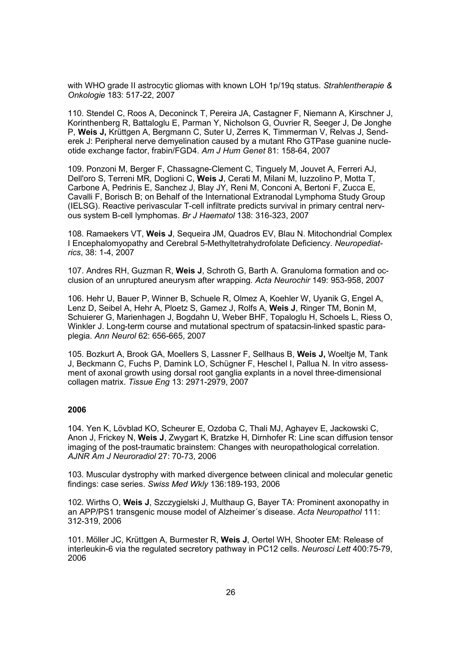with WHO grade II astrocytic gliomas with known LOH 1p/19q status. *Strahlentherapie & Onkologie* 183: 517-22, 2007

110. Stendel C, Roos A, Deconinck T, Pereira JA, Castagner F, Niemann A, Kirschner J, Korinthenberg R, Battaloglu E, Parman Y, Nicholson G, Ouvrier R, Seeger J, De Jonghe P, **Weis J,** Krüttgen A, Bergmann C, Suter U, Zerres K, Timmerman V, Relvas J, Senderek J: Peripheral nerve demyelination caused by a mutant Rho GTPase guanine nucleotide exchange factor, frabin/FGD4. *Am J Hum Genet* 81: 158-64, 2007

109. Ponzoni M, Berger F, Chassagne-Clement C, Tinguely M, Jouvet A, Ferreri AJ, Dell'oro S, Terreni MR, Doglioni C, **Weis J**, Cerati M, Milani M, Iuzzolino P, Motta T, Carbone A, Pedrinis E, Sanchez J, Blay JY, Reni M, Conconi A, Bertoni F, Zucca E, Cavalli F, Borisch B; on Behalf of the International Extranodal Lymphoma Study Group (IELSG). Reactive perivascular T-cell infiltrate predicts survival in primary central nervous system B-cell lymphomas. *Br J Haematol* 138: 316-323, 2007

108. Ramaekers VT, **Weis J**, Sequeira JM, Quadros EV, Blau N. Mitochondrial Complex I Encephalomyopathy and Cerebral 5-Methyltetrahydrofolate Deficiency. *Neuropediatrics*, 38: 1-4, 2007

107. Andres RH, Guzman R, **Weis J**, Schroth G, Barth A. Granuloma formation and occlusion of an unruptured aneurysm after wrapping. *Acta Neurochir* 149: 953-958, 2007

106. Hehr U, Bauer P, Winner B, Schuele R, Olmez A, Koehler W, Uyanik G, Engel A, Lenz D, Seibel A, Hehr A, Ploetz S, Gamez J, Rolfs A, **Weis J**, Ringer TM, Bonin M, Schuierer G, Marienhagen J, Bogdahn U, Weber BHF, Topaloglu H, Schoels L, Riess O, Winkler J. Long-term course and mutational spectrum of spatacsin-linked spastic paraplegia. *Ann Neurol* 62: 656-665, 2007

105. Bozkurt A, Brook GA, Moellers S, Lassner F, Sellhaus B, **Weis J,** Woeltje M, Tank J, Beckmann C, Fuchs P, Damink LO, Schügner F, Heschel I, Pallua N. In vitro assessment of axonal growth using dorsal root ganglia explants in a novel three-dimensional collagen matrix. *Tissue Eng* 13: 2971-2979, 2007

### **2006**

104. Yen K, Lövblad KO, Scheurer E, Ozdoba C, Thali MJ, Aghayev E, Jackowski C, Anon J, Frickey N, **Weis J**, Zwygart K, Bratzke H, Dirnhofer R: Line scan diffusion tensor imaging of the post-traumatic brainstem: Changes with neuropathological correlation. *AJNR Am J Neuroradiol* 27: 70-73, 2006

103. Muscular dystrophy with marked divergence between clinical and molecular genetic findings: case series. *Swiss Med Wkly* 136:189-193, 2006

102. Wirths O, **Weis J**, Szczygielski J, Multhaup G, Bayer TA: Prominent axonopathy in an APP/PS1 transgenic mouse model of Alzheimer´s disease. *Acta Neuropathol* 111: 312-319, 2006

101. Möller JC, Krüttgen A, Burmester R, **Weis J**, Oertel WH, Shooter EM: Release of interleukin-6 via the regulated secretory pathway in PC12 cells. *Neurosci Lett* 400:75-79, 2006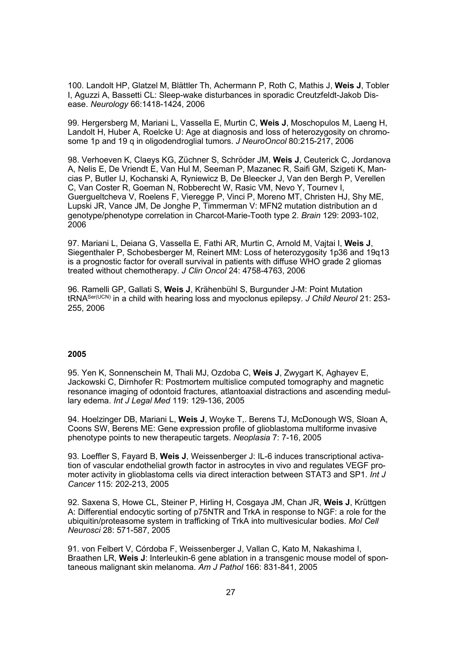100. Landolt HP, Glatzel M, Blättler Th, Achermann P, Roth C, Mathis J, **Weis J**, Tobler I, Aguzzi A, Bassetti CL: Sleep-wake disturbances in sporadic Creutzfeldt-Jakob Disease. *Neurology* 66:1418-1424, 2006

99. Hergersberg M, Mariani L, Vassella E, Murtin C, **Weis J**, Moschopulos M, Laeng H, Landolt H, Huber A, Roelcke U: Age at diagnosis and loss of heterozygosity on chromosome 1p and 19 q in oligodendroglial tumors. *J NeuroOncol* 80:215-217, 2006

98. Verhoeven K, Claeys KG, Züchner S, Schröder JM, **Weis J**, Ceuterick C, Jordanova A, Nelis E, De Vriendt E, Van Hul M, Seeman P, Mazanec R, Saifi GM, Szigeti K, Mancias P, Butler IJ, Kochanski A, Ryniewicz B, De Bleecker J, Van den Bergh P, Verellen C, Van Coster R, Goeman N, Robberecht W, Rasic VM, Nevo Y, Tournev I, Guergueltcheva V, Roelens F, Vieregge P, Vinci P, Moreno MT, Christen HJ, Shy ME, Lupski JR, Vance JM, De Jonghe P, Timmerman V: MFN2 mutation distribution an d genotype/phenotype correlation in Charcot-Marie-Tooth type 2. *Brain* 129: 2093-102, 2006

97. Mariani L, Deiana G, Vassella E, Fathi AR, Murtin C, Arnold M, Vajtai I, **Weis J**, Siegenthaler P, Schobesberger M, Reinert MM: Loss of heterozygosity 1p36 and 19q13 is a prognostic factor for overall survival in patients with diffuse WHO grade 2 gliomas treated without chemotherapy. *J Clin Oncol* 24: 4758-4763, 2006

96. Ramelli GP, Gallati S, **Weis J**, Krähenbühl S, Burgunder J-M: Point Mutation tRNASer(UCN) in a child with hearing loss and myoclonus epilepsy. *J Child Neurol* 21: 253- 255, 2006

### **2005**

95. Yen K, Sonnenschein M, Thali MJ, Ozdoba C, **Weis J**, Zwygart K, Aghayev E, Jackowski C, Dirnhofer R: Postmortem multislice computed tomography and magnetic resonance imaging of odontoid fractures, atlantoaxial distractions and ascending medullary edema. *Int J Legal Med* 119: 129-136, 2005

94. Hoelzinger DB, Mariani L, **Weis J**, Woyke T,. Berens TJ, McDonough WS, Sloan A, Coons SW, Berens ME: Gene expression profile of glioblastoma multiforme invasive phenotype points to new therapeutic targets. *Neoplasia* 7: 7-16, 2005

93. Loeffler S, Fayard B, **Weis J**, Weissenberger J: IL-6 induces transcriptional activation of vascular endothelial growth factor in astrocytes in vivo and regulates VEGF promoter activity in glioblastoma cells via direct interaction between STAT3 and SP1. *Int J Cancer* 115: 202-213, 2005

92. Saxena S, Howe CL, Steiner P, Hirling H, Cosgaya JM, Chan JR, **Weis J**, Krüttgen A: Differential endocytic sorting of p75NTR and TrkA in response to NGF: a role for the ubiquitin/proteasome system in trafficking of TrkA into multivesicular bodies. *Mol Cell Neurosci* 28: 571-587, 2005

91. von Felbert V, Córdoba F, Weissenberger J, Vallan C, Kato M, Nakashima I, Braathen LR, **Weis J**: Interleukin-6 gene ablation in a transgenic mouse model of spontaneous malignant skin melanoma. *Am J Pathol* 166: 831-841, 2005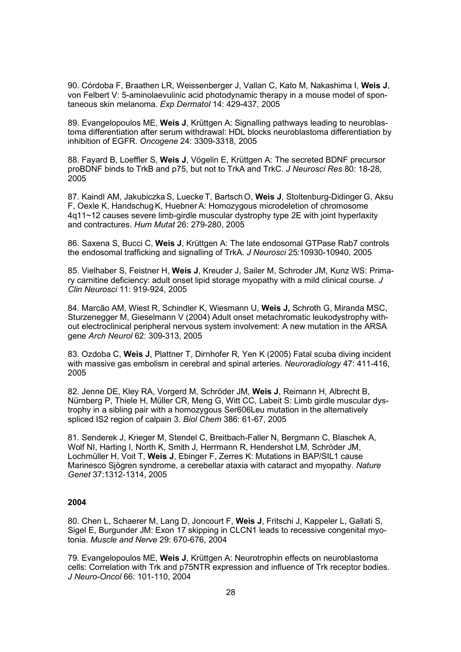90. Córdoba F, Braathen LR, Weissenberger J, Vallan C, Kato M, Nakashima I, **Weis J**, von Felbert V: 5-aminolaevulinic acid photodynamic therapy in a mouse model of spontaneous skin melanoma. *Exp Dermatol* 14: 429-437, 2005

89. Evangelopoulos ME, **Weis J**, Krüttgen A: Signalling pathways leading to neuroblastoma differentiation after serum withdrawal: HDL blocks neuroblastoma differentiation by inhibition of EGFR. *Oncogene* 24: 3309-3318, 2005

88. Fayard B, Loeffler S, **Weis J**, Vögelin E, Krüttgen A: The secreted BDNF precursor proBDNF binds to TrkB and p75, but not to TrkA and TrkC. *J Neurosci Res* 80: 18-28, 2005

87. Kaindl AM, Jakubiczka S, Luecke T, Bartsch O, **Weis J**, Stoltenburg-Didinger G, Aksu F, Oexle K, HandschugK, Huebner A: Homozygous microdeletion of chromosome 4q11~12 causes severe limb-girdle muscular dystrophy type 2E with joint hyperlaxity and contractures. *Hum Mutat* 26: 279-280, 2005

86. Saxena S, Bucci C, **Weis J**, Krüttgen A: The late endosomal GTPase Rab7 controls the endosomal trafficking and signalling of TrkA. *J Neurosci* 25:10930-10940, 2005

85. Vielhaber S, Feistner H, **Weis J**, Kreuder J, Sailer M, Schroder JM, Kunz WS: Primary carnitine deficiency: adult onset lipid storage myopathy with a mild clinical course. *J Clin Neurosci* 11: 919-924, 2005

84. Marcão AM, Wiest R, Schindler K, Wiesmann U, **Weis J,** Schroth G, Miranda MSC, Sturzenegger M, Gieselmann V (2004) Adult onset metachromatic leukodystrophy without electroclinical peripheral nervous system involvement: A new mutation in the ARSA gene *Arch Neurol* 62: 309-313, 2005

83. Ozdoba C, **Weis J**, Plattner T, Dirnhofer R, Yen K (2005) Fatal scuba diving incident with massive gas embolism in cerebral and spinal arteries. *Neuroradiology* 47: 411-416, 2005

82. Jenne DE, Kley RA, Vorgerd M, Schröder JM, **Weis J**, Reimann H, Albrecht B, Nürnberg P, Thiele H, Müller CR, Meng G, Witt CC, Labeit S: Limb girdle muscular dystrophy in a sibling pair with a homozygous Ser606Leu mutation in the alternatively spliced IS2 region of calpain 3. *Biol Chem* 386: 61-67, 2005

81. Senderek J, Krieger M, Stendel C, Breitbach-Faller N, Bergmann C, Blaschek A, Wolf NI, Harting I, North K, Smith J, Herrmann R, Hendershot LM, Schröder JM, Lochmüller H, Voit T, **Weis J**, Ebinger F, Zerres K: Mutations in BAP/SIL1 cause Marinesco Sjögren syndrome, a cerebellar ataxia with cataract and myopathy. *Nature Genet* 37:1312-1314, 2005

### **2004**

80. Chen L, Schaerer M, Lang D, Joncourt F, **Weis J**, Fritschi J, Kappeler L, Gallati S, Sigel E, Burgunder JM: Exon 17 skipping in CLCN1 leads to recessive congenital myotonia. *Muscle and Nerve* 29: 670-676, 2004

79. Evangelopoulos ME, **Weis J**, Krüttgen A: Neurotrophin effects on neuroblastoma cells: Correlation with Trk and p75NTR expression and influence of Trk receptor bodies. *J Neuro-Oncol* 66: 101-110, 2004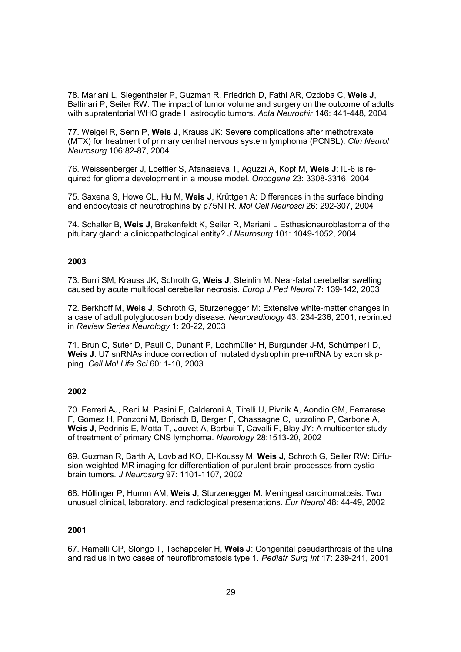78. Mariani L, Siegenthaler P, Guzman R, Friedrich D, Fathi AR, Ozdoba C, **Weis J**, Ballinari P, Seiler RW: The impact of tumor volume and surgery on the outcome of adults with supratentorial WHO grade II astrocytic tumors. *Acta Neurochir* 146: 441-448, 2004

77. Weigel R, Senn P, **Weis J**, Krauss JK: Severe complications after methotrexate (MTX) for treatment of primary central nervous system lymphoma (PCNSL). *Clin Neurol Neurosurg* 106:82-87, 2004

76. Weissenberger J, Loeffler S, Afanasieva T, Aguzzi A, Kopf M, **Weis J**: IL-6 is required for glioma development in a mouse model. *Oncogene* 23: 3308-3316, 2004

75. Saxena S, Howe CL, Hu M, **Weis J**, Krüttgen A: Differences in the surface binding and endocytosis of neurotrophins by p75NTR. *Mol Cell Neurosci* 26: 292-307, 2004

74. Schaller B, **Weis J**, Brekenfeldt K, Seiler R, Mariani L Esthesioneuroblastoma of the pituitary gland: a clinicopathological entity? *J Neurosurg* 101: 1049-1052, 2004

### **2003**

73. Burri SM, Krauss JK, Schroth G, **Weis J**, Steinlin M: Near-fatal cerebellar swelling caused by acute multifocal cerebellar necrosis. *Europ J Ped Neurol* 7: 139-142, 2003

72. Berkhoff M, **Weis J**, Schroth G, Sturzenegger M: Extensive white-matter changes in a case of adult polyglucosan body disease. *Neuroradiology* 43: 234-236, 2001; reprinted in *Review Series Neurology* 1: 20-22, 2003

71. Brun C, Suter D, Pauli C, Dunant P, Lochmüller H, Burgunder J-M, Schümperli D, **Weis J**: U7 snRNAs induce correction of mutated dystrophin pre-mRNA by exon skipping. *Cell Mol Life Sci* 60: 1-10, 2003

### **2002**

70. Ferreri AJ, Reni M, Pasini F, Calderoni A, Tirelli U, Pivnik A, Aondio GM, Ferrarese F, Gomez H, Ponzoni M, Borisch B, Berger F, Chassagne C, Iuzzolino P, Carbone A, **Weis J**, Pedrinis E, Motta T, Jouvet A, Barbui T, Cavalli F, Blay JY: A multicenter study of treatment of primary CNS lymphoma. *Neurology* 28:1513-20, 2002

69. Guzman R, Barth A, Lovblad KO, El-Koussy M, **Weis J**, Schroth G, Seiler RW: Diffusion-weighted MR imaging for differentiation of purulent brain processes from cystic brain tumors. *J Neurosurg* 97: 1101-1107, 2002

68. Höllinger P, Humm AM, **Weis J**, Sturzenegger M: Meningeal carcinomatosis: Two unusual clinical, laboratory, and radiological presentations. *Eur Neurol* 48: 44-49, 2002

### **2001**

67. Ramelli GP, Slongo T, Tschäppeler H, **Weis J**: Congenital pseudarthrosis of the ulna and radius in two cases of neurofibromatosis type 1. *Pediatr Surg Int* 17: 239-241, 2001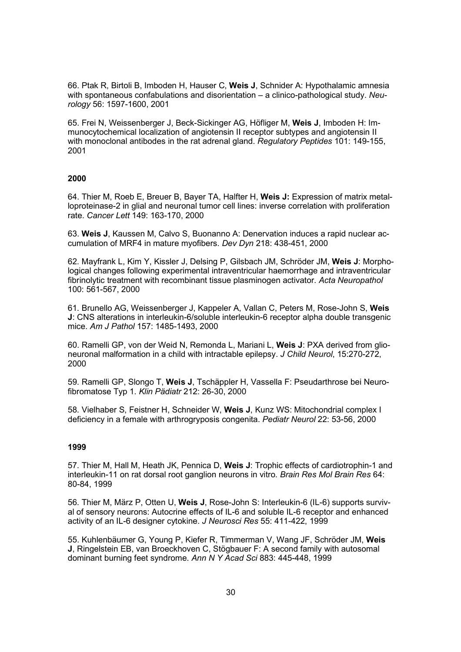66. Ptak R, Birtoli B, Imboden H, Hauser C, **Weis J**, Schnider A: Hypothalamic amnesia with spontaneous confabulations and disorientation – a clinico-pathological study. *Neurology* 56: 1597-1600, 2001

65. Frei N, Weissenberger J, Beck-Sickinger AG, Höfliger M, **Weis J**, Imboden H: Immunocytochemical localization of angiotensin II receptor subtypes and angiotensin II with monoclonal antibodes in the rat adrenal gland. *Regulatory Peptides* 101: 149-155, 2001

### **2000**

64. Thier M, Roeb E, Breuer B, Bayer TA, Halfter H, **Weis J:** Expression of matrix metalloproteinase-2 in glial and neuronal tumor cell lines: inverse correlation with proliferation rate. *Cancer Lett* 149: 163-170, 2000

63. **Weis J**, Kaussen M, Calvo S, Buonanno A: Denervation induces a rapid nuclear accumulation of MRF4 in mature myofibers. *Dev Dyn* 218: 438-451, 2000

62. Mayfrank L, Kim Y, Kissler J, Delsing P, Gilsbach JM, Schröder JM, **Weis J**: Morphological changes following experimental intraventricular haemorrhage and intraventricular fibrinolytic treatment with recombinant tissue plasminogen activator. *Acta Neuropathol* 100: 561-567, 2000

61. Brunello AG, Weissenberger J, Kappeler A, Vallan C, Peters M, Rose-John S, **Weis J**: CNS alterations in interleukin-6/soluble interleukin-6 receptor alpha double transgenic mice. *Am J Pathol* 157: 1485-1493, 2000

60. Ramelli GP, von der Weid N, Remonda L, Mariani L, **Weis J**: PXA derived from glioneuronal malformation in a child with intractable epilepsy. *J Child Neurol*, 15:270-272, 2000

59. Ramelli GP, Slongo T, **Weis J**, Tschäppler H, Vassella F: Pseudarthrose bei Neurofibromatose Typ 1. *Klin Pädiatr* 212: 26-30, 2000

58. Vielhaber S, Feistner H, Schneider W, **Weis J**, Kunz WS: Mitochondrial complex I deficiency in a female with arthrogryposis congenita. *Pediatr Neurol* 22: 53-56, 2000

### **1999**

57. Thier M, Hall M, Heath JK, Pennica D, **Weis J**: Trophic effects of cardiotrophin-1 and interleukin-11 on rat dorsal root ganglion neurons in vitro. *Brain Res Mol Brain Res* 64: 80-84, 1999

56. Thier M, März P, Otten U, **Weis J**, Rose-John S: Interleukin-6 (IL-6) supports survival of sensory neurons: Autocrine effects of IL-6 and soluble IL-6 receptor and enhanced activity of an IL-6 designer cytokine. *J Neurosci Res* 55: 411-422, 1999

55. Kuhlenbäumer G, Young P, Kiefer R, Timmerman V, Wang JF, Schröder JM, **Weis J**, Ringelstein EB, van Broeckhoven C, Stögbauer F: A second family with autosomal dominant burning feet syndrome. *Ann N Y Acad Sci* 883: 445-448, 1999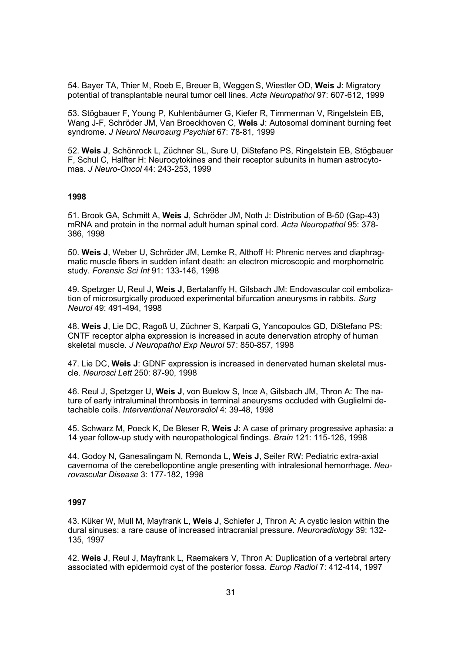54. Bayer TA, Thier M, Roeb E, Breuer B, Weggen S, Wiestler OD, **Weis J**: Migratory potential of transplantable neural tumor cell lines. *Acta Neuropathol* 97: 607-612, 1999

53. Stögbauer F, Young P, Kuhlenbäumer G, Kiefer R, Timmerman V, Ringelstein EB, Wang J-F, Schröder JM, Van Broeckhoven C, **Weis J**: Autosomal dominant burning feet syndrome. *J Neurol Neurosurg Psychiat* 67: 78-81, 1999

52. **Weis J**, Schönrock L, Züchner SL, Sure U, DiStefano PS, Ringelstein EB, Stögbauer F, Schul C, Halfter H: Neurocytokines and their receptor subunits in human astrocytomas. *J Neuro-Oncol* 44: 243-253, 1999

### **1998**

51. Brook GA, Schmitt A, **Weis J**, Schröder JM, Noth J: Distribution of B-50 (Gap-43) mRNA and protein in the normal adult human spinal cord. *Acta Neuropathol* 95: 378- 386, 1998

50. **Weis J**, Weber U, Schröder JM, Lemke R, Althoff H: Phrenic nerves and diaphragmatic muscle fibers in sudden infant death: an electron microscopic and morphometric study. *Forensic Sci Int* 91: 133-146, 1998

49. Spetzger U, Reul J, **Weis J**, Bertalanffy H, Gilsbach JM: Endovascular coil embolization of microsurgically produced experimental bifurcation aneurysms in rabbits. *Surg Neurol* 49: 491-494, 1998

48. **Weis J**, Lie DC, Ragoß U, Züchner S, Karpati G, Yancopoulos GD, DiStefano PS: CNTF receptor alpha expression is increased in acute denervation atrophy of human skeletal muscle. *J Neuropathol Exp Neurol* 57: 850-857, 1998

47. Lie DC, **Weis J**: GDNF expression is increased in denervated human skeletal muscle. *Neurosci Lett* 250: 87-90, 1998

46. Reul J, Spetzger U, **Weis J**, von Buelow S, Ince A, Gilsbach JM, Thron A: The nature of early intraluminal thrombosis in terminal aneurysms occluded with Guglielmi detachable coils. *Interventional Neuroradiol* 4: 39-48, 1998

45. Schwarz M, Poeck K, De Bleser R, **Weis J**: A case of primary progressive aphasia: a 14 year follow-up study with neuropathological findings. *Brain* 121: 115-126, 1998

44. Godoy N, Ganesalingam N, Remonda L, **Weis J**, Seiler RW: Pediatric extra-axial cavernoma of the cerebellopontine angle presenting with intralesional hemorrhage. *Neurovascular Disease* 3: 177-182, 1998

### **1997**

43. Küker W, Mull M, Mayfrank L, **Weis J**, Schiefer J, Thron A: A cystic lesion within the dural sinuses: a rare cause of increased intracranial pressure. *Neuroradiology* 39: 132- 135, 1997

42. **Weis J**, Reul J, Mayfrank L, Raemakers V, Thron A: Duplication of a vertebral artery associated with epidermoid cyst of the posterior fossa. *Europ Radiol* 7: 412-414, 1997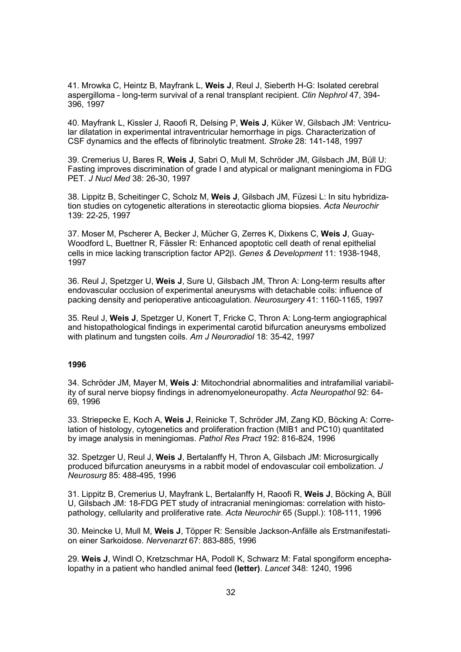41. Mrowka C, Heintz B, Mayfrank L, **Weis J**, Reul J, Sieberth H-G: Isolated cerebral aspergilloma - long-term survival of a renal transplant recipient. *Clin Nephrol* 47, 394- 396, 1997

40. Mayfrank L, Kissler J, Raoofi R, Delsing P, **Weis J**, Küker W, Gilsbach JM: Ventricular dilatation in experimental intraventricular hemorrhage in pigs. Characterization of CSF dynamics and the effects of fibrinolytic treatment. *Stroke* 28: 141-148, 1997

39. Cremerius U, Bares R, **Weis J**, Sabri O, Mull M, Schröder JM, Gilsbach JM, Büll U: Fasting improves discrimination of grade I and atypical or malignant meningioma in FDG PET. *J Nucl Med* 38: 26-30, 1997

38. Lippitz B, Scheitinger C, Scholz M, **Weis J**, Gilsbach JM, Füzesi L: In situ hybridization studies on cytogenetic alterations in stereotactic glioma biopsies. *Acta Neurochir* 139: 22-25, 1997

37. Moser M, Pscherer A, Becker J, Mücher G, Zerres K, Dixkens C, **Weis J**, Guay-Woodford L, Buettner R, Fässler R: Enhanced apoptotic cell death of renal epithelial cells in mice lacking transcription factor AP2. *Genes & Development* 11: 1938-1948, 1997

36. Reul J, Spetzger U, **Weis J**, Sure U, Gilsbach JM, Thron A: Long-term results after endovascular occlusion of experimental aneurysms with detachable coils: influence of packing density and perioperative anticoagulation. *Neurosurgery* 41: 1160-1165, 1997

35. Reul J, **Weis J**, Spetzger U, Konert T, Fricke C, Thron A: Long-term angiographical and histopathological findings in experimental carotid bifurcation aneurysms embolized with platinum and tungsten coils. *Am J Neuroradiol* 18: 35-42, 1997

### **1996**

34. Schröder JM, Mayer M, **Weis J**: Mitochondrial abnormalities and intrafamilial variability of sural nerve biopsy findings in adrenomyeloneuropathy. *Acta Neuropathol* 92: 64- 69, 1996

33. Striepecke E, Koch A, **Weis J**, Reinicke T, Schröder JM, Zang KD, Böcking A: Correlation of histology, cytogenetics and proliferation fraction (MIB1 and PC10) quantitated by image analysis in meningiomas. *Pathol Res Pract* 192: 816-824, 1996

32. Spetzger U, Reul J, **Weis J**, Bertalanffy H, Thron A, Gilsbach JM: Microsurgically produced bifurcation aneurysms in a rabbit model of endovascular coil embolization. *J Neurosurg* 85: 488-495, 1996

31. Lippitz B, Cremerius U, Mayfrank L, Bertalanffy H, Raoofi R, **Weis J**, Böcking A, Büll U, Gilsbach JM: 18-FDG PET study of intracranial meningiomas: correlation with histopathology, cellularity and proliferative rate. *Acta Neurochir* 65 (Suppl.): 108-111, 1996

30. Meincke U, Mull M, **Weis J**, Töpper R: Sensible Jackson-Anfälle als Erstmanifestation einer Sarkoidose. *Nervenarzt* 67: 883-885, 1996

29. **Weis J**, Windl O, Kretzschmar HA, Podoll K, Schwarz M: Fatal spongiform encephalopathy in a patient who handled animal feed **(letter)**. *Lancet* 348: 1240, 1996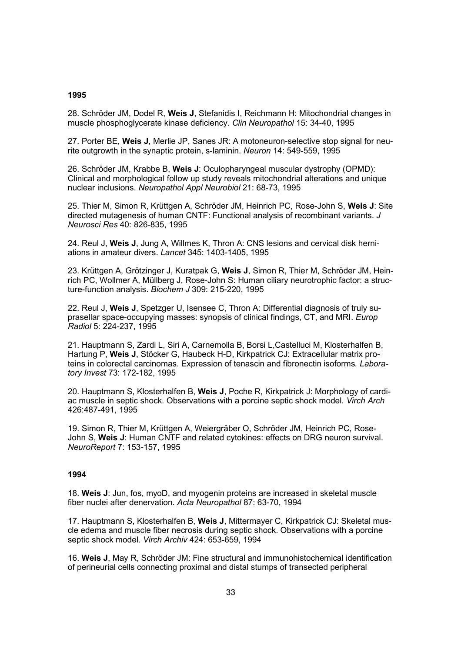#### **1995**

28. Schröder JM, Dodel R, **Weis J**, Stefanidis I, Reichmann H: Mitochondrial changes in muscle phosphoglycerate kinase deficiency. *Clin Neuropathol* 15: 34-40, 1995

27. Porter BE, **Weis J**, Merlie JP, Sanes JR: A motoneuron-selective stop signal for neurite outgrowth in the synaptic protein, s-laminin. *Neuron* 14: 549-559, 1995

26. Schröder JM, Krabbe B, **Weis J**: Oculopharyngeal muscular dystrophy (OPMD): Clinical and morphological follow up study reveals mitochondrial alterations and unique nuclear inclusions. *Neuropathol Appl Neurobiol* 21: 68-73, 1995

25. Thier M, Simon R, Krüttgen A, Schröder JM, Heinrich PC, Rose-John S, **Weis J**: Site directed mutagenesis of human CNTF: Functional analysis of recombinant variants. *J Neurosci Res* 40: 826-835, 1995

24. Reul J, **Weis J**, Jung A, Willmes K, Thron A: CNS lesions and cervical disk herniations in amateur divers. *Lancet* 345: 1403-1405, 1995

23. Krüttgen A, Grötzinger J, Kuratpak G, **Weis J**, Simon R, Thier M, Schröder JM, Heinrich PC, Wollmer A, Müllberg J, Rose-John S: Human ciliary neurotrophic factor: a structure-function analysis. *Biochem J* 309: 215-220, 1995

22. Reul J, **Weis J**, Spetzger U, Isensee C, Thron A: Differential diagnosis of truly suprasellar space-occupying masses: synopsis of clinical findings, CT, and MRI. *Europ Radiol* 5: 224-237, 1995

21. Hauptmann S, Zardi L, Siri A, Carnemolla B, Borsi L,Castelluci M, Klosterhalfen B, Hartung P, **Weis J**, Stöcker G, Haubeck H-D, Kirkpatrick CJ: Extracellular matrix proteins in colorectal carcinomas. Expression of tenascin and fibronectin isoforms*. Laboratory Invest* 73: 172-182, 1995

20. Hauptmann S, Klosterhalfen B, **Weis J**, Poche R, Kirkpatrick J: Morphology of cardiac muscle in septic shock. Observations with a porcine septic shock model. *Virch Arch* 426:487-491, 1995

19. Simon R, Thier M, Krüttgen A, Weiergräber O, Schröder JM, Heinrich PC, Rose-John S, **Weis J**: Human CNTF and related cytokines: effects on DRG neuron survival. *NeuroReport* 7: 153-157, 1995

### **1994**

18. **Weis J**: Jun, fos, myoD, and myogenin proteins are increased in skeletal muscle fiber nuclei after denervation. *Acta Neuropathol* 87: 63-70, 1994

17. Hauptmann S, Klosterhalfen B, **Weis J**, Mittermayer C, Kirkpatrick CJ: Skeletal muscle edema and muscle fiber necrosis during septic shock. Observations with a porcine septic shock model. *Virch Archiv* 424: 653-659, 1994

16. **Weis J**, May R, Schröder JM: Fine structural and immunohistochemical identification of perineurial cells connecting proximal and distal stumps of transected peripheral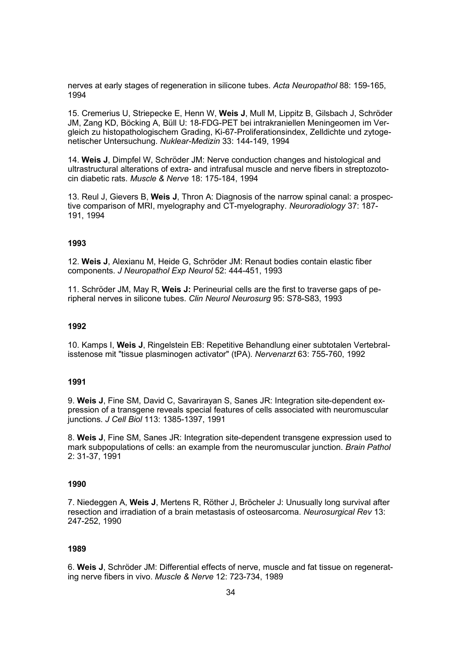nerves at early stages of regeneration in silicone tubes. *Acta Neuropathol* 88: 159-165, 1994

15. Cremerius U, Striepecke E, Henn W, **Weis J**, Mull M, Lippitz B, Gilsbach J, Schröder JM, Zang KD, Böcking A, Büll U: 18-FDG-PET bei intrakraniellen Meningeomen im Vergleich zu histopathologischem Grading, Ki-67-Proliferationsindex, Zelldichte und zytogenetischer Untersuchung. *Nuklear-Medizin* 33: 144-149, 1994

14. **Weis J**, Dimpfel W, Schröder JM: Nerve conduction changes and histological and ultrastructural alterations of extra- and intrafusal muscle and nerve fibers in streptozotocin diabetic rats. *Muscle & Nerve* 18: 175-184, 1994

13. Reul J, Gievers B, **Weis J**, Thron A: Diagnosis of the narrow spinal canal: a prospective comparison of MRI, myelography and CT-myelography. *Neuroradiology* 37: 187- 191, 1994

### **1993**

12. **Weis J**, Alexianu M, Heide G, Schröder JM: Renaut bodies contain elastic fiber components. *J Neuropathol Exp Neurol* 52: 444-451, 1993

11. Schröder JM, May R, **Weis J:** Perineurial cells are the first to traverse gaps of peripheral nerves in silicone tubes. *Clin Neurol Neurosurg* 95: S78-S83, 1993

#### **1992**

10. Kamps I, **Weis J**, Ringelstein EB: Repetitive Behandlung einer subtotalen Vertebralisstenose mit "tissue plasminogen activator" (tPA). *Nervenarzt* 63: 755-760, 1992

### **1991**

9. **Weis J**, Fine SM, David C, Savarirayan S, Sanes JR: Integration site-dependent expression of a transgene reveals special features of cells associated with neuromuscular junctions. *J Cell Biol* 113: 1385-1397, 1991

8. **Weis J**, Fine SM, Sanes JR: Integration site-dependent transgene expression used to mark subpopulations of cells: an example from the neuromuscular junction. *Brain Pathol* 2: 31-37, 1991

#### **1990**

7. Niedeggen A, **Weis J**, Mertens R, Röther J, Bröcheler J: Unusually long survival after resection and irradiation of a brain metastasis of osteosarcoma. *Neurosurgical Rev* 13: 247-252, 1990

### **1989**

6. **Weis J**, Schröder JM: Differential effects of nerve, muscle and fat tissue on regenerating nerve fibers in vivo. *Muscle & Nerve* 12: 723-734, 1989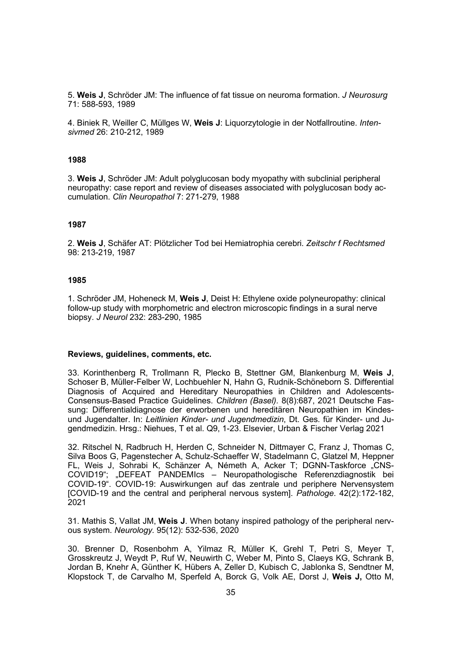5. **Weis J**, Schröder JM: The influence of fat tissue on neuroma formation. *J Neurosurg*  71: 588-593, 1989

4. Biniek R, Weiller C, Müllges W, **Weis J**: Liquorzytologie in der Notfallroutine. *Intensivmed* 26: 210-212, 1989

### **1988**

3. **Weis J**, Schröder JM: Adult polyglucosan body myopathy with subclinial peripheral neuropathy: case report and review of diseases associated with polyglucosan body accumulation. *Clin Neuropathol* 7: 271-279, 1988

#### **1987**

2. **Weis J**, Schäfer AT: Plötzlicher Tod bei Hemiatrophia cerebri. *Zeitschr f Rechtsmed* 98: 213-219, 1987

#### **1985**

1. Schröder JM, Hoheneck M, **Weis J**, Deist H: Ethylene oxide polyneuropathy: clinical follow-up study with morphometric and electron microscopic findings in a sural nerve biopsy. *J Neurol* 232: 283-290, 1985

#### **Reviews, guidelines, comments, etc.**

33. Korinthenberg R, Trollmann R, Plecko B, Stettner GM, Blankenburg M, **Weis J**, Schoser B, Müller-Felber W, Lochbuehler N, Hahn G, Rudnik-Schöneborn S. Differential Diagnosis of Acquired and Hereditary Neuropathies in Children and Adolescents-Consensus-Based Practice Guidelines. *Children (Basel).* 8(8):687, 2021 Deutsche Fassung: Differentialdiagnose der erworbenen und hereditären Neuropathien im Kindesund Jugendalter. In: *Leitlinien Kinder- und Jugendmedizin*, Dt. Ges. für Kinder- und Jugendmedizin. Hrsg.: Niehues, T et al. Q9, 1-23. Elsevier, Urban & Fischer Verlag 2021

32. Ritschel N, Radbruch H, Herden C, Schneider N, Dittmayer C, Franz J, Thomas C, Silva Boos G, Pagenstecher A, Schulz-Schaeffer W, Stadelmann C, Glatzel M, Heppner FL, Weis J, Sohrabi K, Schänzer A, Németh A, Acker T; DGNN-Taskforce "CNS-COVID19"; "DEFEAT PANDEMIcs – Neuropathologische Referenzdiagnostik bei COVID-19". COVID-19: Auswirkungen auf das zentrale und periphere Nervensystem [COVID-19 and the central and peripheral nervous system]. *Pathologe*. 42(2):172-182, 2021

31. Mathis S, Vallat JM, **Weis J**. When botany inspired pathology of the peripheral nervous system. *Neurology.* 95(12): 532-536, 2020

30. Brenner D, Rosenbohm A, Yilmaz R, Müller K, Grehl T, Petri S, Meyer T, Grosskreutz J, Weydt P, Ruf W, Neuwirth C, Weber M, Pinto S, Claeys KG, Schrank B, Jordan B, Knehr A, Günther K, Hübers A, Zeller D, Kubisch C, Jablonka S, Sendtner M, Klopstock T, de Carvalho M, Sperfeld A, Borck G, Volk AE, Dorst J, **Weis J,** Otto M,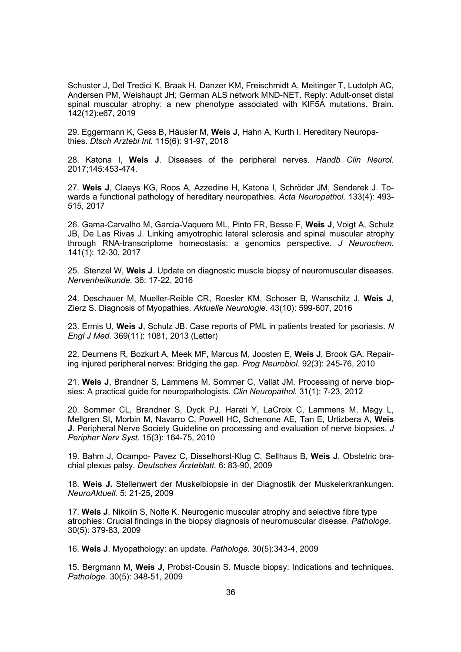Schuster J, Del Tredici K, Braak H, Danzer KM, Freischmidt A, Meitinger T, Ludolph AC, Andersen PM, Weishaupt JH; German ALS network MND-NET. Reply: Adult-onset distal spinal muscular atrophy: a new phenotype associated with KIF5A mutations. Brain. 142(12):e67, 2019

29. Eggermann K, Gess B, Häusler M, **Weis J**, Hahn A, Kurth I. Hereditary Neuropathies. *Dtsch Arztebl Int.* 115(6): 91-97, 2018

28. Katona I, **Weis J**. Diseases of the peripheral nerves. *Handb Clin Neurol*. 2017;145:453-474.

27. **Weis J**, Claeys KG, Roos A, Azzedine H, Katona I, Schröder JM, Senderek J. Towards a functional pathology of hereditary neuropathies. *Acta Neuropathol.* 133(4): 493- 515, 2017

26. Gama-Carvalho M, Garcia-Vaquero ML, Pinto FR, Besse F, **Weis J**, Voigt A, Schulz JB, De Las Rivas J. Linking amyotrophic lateral sclerosis and spinal muscular atrophy through RNA-transcriptome homeostasis: a genomics perspective. *J Neurochem.* 141(1): 12-30, 2017

25. Stenzel W, **Weis J**. Update on diagnostic muscle biopsy of neuromuscular diseases. *Nervenheilkunde.* 36: 17-22, 2016

24. Deschauer M, Mueller-Reible CR, Roesler KM, Schoser B, Wanschitz J, **Weis J**, Zierz S. Diagnosis of Myopathies. *Aktuelle Neurologie.* 43(10): 599-607, 2016

23. Ermis U, **Weis J**, Schulz JB. Case reports of PML in patients treated for psoriasis. *N Engl J Med.* 369(11): 1081, 2013 (Letter)

22. Deumens R, Bozkurt A, Meek MF, Marcus M, Joosten E, **Weis J**, Brook GA. Repairing injured peripheral nerves: Bridging the gap. *Prog Neurobiol.* 92(3): 245-76, 2010

21. **Weis J**, Brandner S, Lammens M, Sommer C, Vallat JM. Processing of nerve biopsies: A practical guide for neuropathologists. *Clin Neuropathol.* 31(1): 7-23, 2012

20. Sommer CL, Brandner S, Dyck PJ, Harati Y, LaCroix C, Lammens M, Magy L, Mellgren SI, Morbin M, Navarro C, Powell HC, Schenone AE, Tan E, Urtizbera A, **Weis J**. Peripheral Nerve Society Guideline on processing and evaluation of nerve biopsies. *J Peripher Nerv Syst.* 15(3): 164-75, 2010

19. Bahm J, Ocampo- Pavez C, Disselhorst-Klug C, Sellhaus B, **Weis J**. Obstetric brachial plexus palsy. *Deutsches Ärzteblatt.* 6: 83-90, 2009

18. **Weis J.** Stellenwert der Muskelbiopsie in der Diagnostik der Muskelerkrankungen. *NeuroAktuell.* 5: 21-25, 2009

17. **Weis J**, Nikolin S, Nolte K. Neurogenic muscular atrophy and selective fibre type atrophies: Crucial findings in the biopsy diagnosis of neuromuscular disease. *Pathologe*. 30(5): 379-83, 2009

16. **Weis J**. Myopathology: an update. *Pathologe.* 30(5):343-4, 2009

15. Bergmann M, **Weis J**, Probst-Cousin S. Muscle biopsy: Indications and techniques. *Pathologe.* 30(5): 348-51, 2009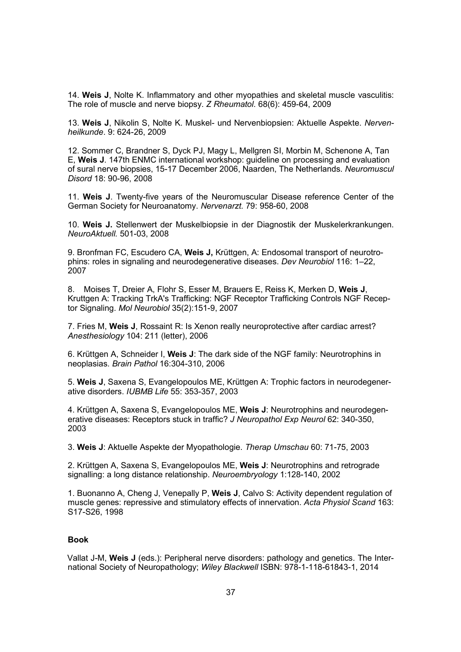14. **Weis J**, Nolte K. Inflammatory and other myopathies and skeletal muscle vasculitis: The role of muscle and nerve biopsy. *Z Rheumatol*. 68(6): 459-64, 2009

13. **Weis J**, Nikolin S, Nolte K. Muskel- und Nervenbiopsien: Aktuelle Aspekte. *Nervenheilkunde*. 9: 624-26, 2009

12. Sommer C, Brandner S, Dyck PJ, Magy L, Mellgren SI, Morbin M, Schenone A, Tan E, **Weis J**. 147th ENMC international workshop: guideline on processing and evaluation of sural nerve biopsies, 15-17 December 2006, Naarden, The Netherlands. *Neuromuscul Disord* 18: 90-96, 2008

11. **Weis J**. Twenty-five years of the Neuromuscular Disease reference Center of the German Society for Neuroanatomy. *Nervenarzt.* 79: 958-60, 2008

10. **Weis J.** Stellenwert der Muskelbiopsie in der Diagnostik der Muskelerkrankungen. *NeuroAktuell.* 501-03, 2008

9. Bronfman FC, Escudero CA, **Weis J,** Krüttgen, A: Endosomal transport of neurotrophins: roles in signaling and neurodegenerative diseases. *Dev Neurobiol* 116: 1–22, 2007

8. Moises T, Dreier A, Flohr S, Esser M, Brauers E, Reiss K, Merken D, **Weis J**, Kruttgen A: Tracking TrkA's Trafficking: NGF Receptor Trafficking Controls NGF Receptor Signaling. *Mol Neurobiol* 35(2):151-9, 2007

7. Fries M, **Weis J**, Rossaint R: Is Xenon really neuroprotective after cardiac arrest? *Anesthesiology* 104: 211 (letter), 2006

6. Krüttgen A, Schneider I, **Weis J**: The dark side of the NGF family: Neurotrophins in neoplasias. *Brain Pathol* 16:304-310, 2006

5. **Weis J**, Saxena S, Evangelopoulos ME, Krüttgen A: Trophic factors in neurodegenerative disorders. *IUBMB Life* 55: 353-357, 2003

4. Krüttgen A, Saxena S, Evangelopoulos ME, **Weis J**: Neurotrophins and neurodegenerative diseases: Receptors stuck in traffic? *J Neuropathol Exp Neurol* 62: 340-350, 2003

3. **Weis J**: Aktuelle Aspekte der Myopathologie. *Therap Umschau* 60: 71-75, 2003

2. Krüttgen A, Saxena S, Evangelopoulos ME, **Weis J**: Neurotrophins and retrograde signalling: a long distance relationship. *Neuroembryology* 1:128-140, 2002

1. Buonanno A, Cheng J, Venepally P, **Weis J**, Calvo S: Activity dependent regulation of muscle genes: repressive and stimulatory effects of innervation. *Acta Physiol Scand* 163: S17-S26, 1998

### **Book**

Vallat J-M, **Weis J** (eds.): Peripheral nerve disorders: pathology and genetics. The International Society of Neuropathology; *Wiley Blackwell* ISBN: 978-1-118-61843-1, 2014